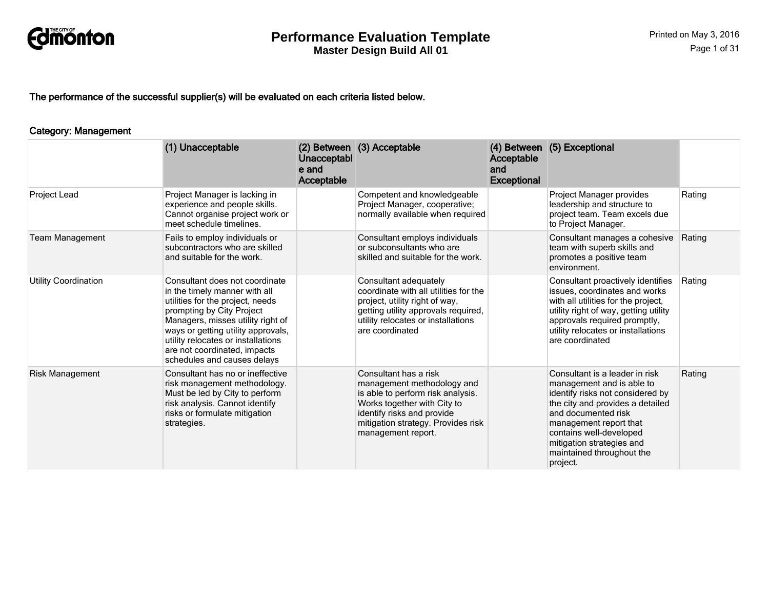

The performance of the successful supplier(s) will be evaluated on each criteria listed below.

#### Category: Management

|                        | (1) Unacceptable                                                                                                                                                                                                                                                                                                 | Unacceptabl<br>e and<br>Acceptable | (2) Between (3) Acceptable                                                                                                                                                                                        | Acceptable<br>and<br><b>Exceptional</b> | (4) Between (5) Exceptional                                                                                                                                                                                                                                                           |        |
|------------------------|------------------------------------------------------------------------------------------------------------------------------------------------------------------------------------------------------------------------------------------------------------------------------------------------------------------|------------------------------------|-------------------------------------------------------------------------------------------------------------------------------------------------------------------------------------------------------------------|-----------------------------------------|---------------------------------------------------------------------------------------------------------------------------------------------------------------------------------------------------------------------------------------------------------------------------------------|--------|
| Project Lead           | Project Manager is lacking in<br>experience and people skills.<br>Cannot organise project work or<br>meet schedule timelines.                                                                                                                                                                                    |                                    | Competent and knowledgeable<br>Project Manager, cooperative;<br>normally available when required                                                                                                                  |                                         | Project Manager provides<br>leadership and structure to<br>project team. Team excels due<br>to Project Manager.                                                                                                                                                                       | Rating |
| <b>Team Management</b> | Fails to employ individuals or<br>subcontractors who are skilled<br>and suitable for the work.                                                                                                                                                                                                                   |                                    | Consultant employs individuals<br>or subconsultants who are<br>skilled and suitable for the work.                                                                                                                 |                                         | Consultant manages a cohesive<br>team with superb skills and<br>promotes a positive team<br>environment.                                                                                                                                                                              | Rating |
| Utility Coordination   | Consultant does not coordinate<br>in the timely manner with all<br>utilities for the project, needs<br>prompting by City Project<br>Managers, misses utility right of<br>ways or getting utility approvals,<br>utility relocates or installations<br>are not coordinated, impacts<br>schedules and causes delays |                                    | Consultant adequately<br>coordinate with all utilities for the<br>project, utility right of way,<br>getting utility approvals required,<br>utility relocates or installations<br>are coordinated                  |                                         | Consultant proactively identifies<br>issues, coordinates and works<br>with all utilities for the project,<br>utility right of way, getting utility<br>approvals required promptly,<br>utility relocates or installations<br>are coordinated                                           | Rating |
| <b>Risk Management</b> | Consultant has no or ineffective<br>risk management methodology.<br>Must be led by City to perform<br>risk analysis. Cannot identify<br>risks or formulate mitigation<br>strategies.                                                                                                                             |                                    | Consultant has a risk<br>management methodology and<br>is able to perform risk analysis.<br>Works together with City to<br>identify risks and provide<br>mitigation strategy. Provides risk<br>management report. |                                         | Consultant is a leader in risk<br>management and is able to<br>identify risks not considered by<br>the city and provides a detailed<br>and documented risk<br>management report that<br>contains well-developed<br>mitigation strategies and<br>maintained throughout the<br>project. | Rating |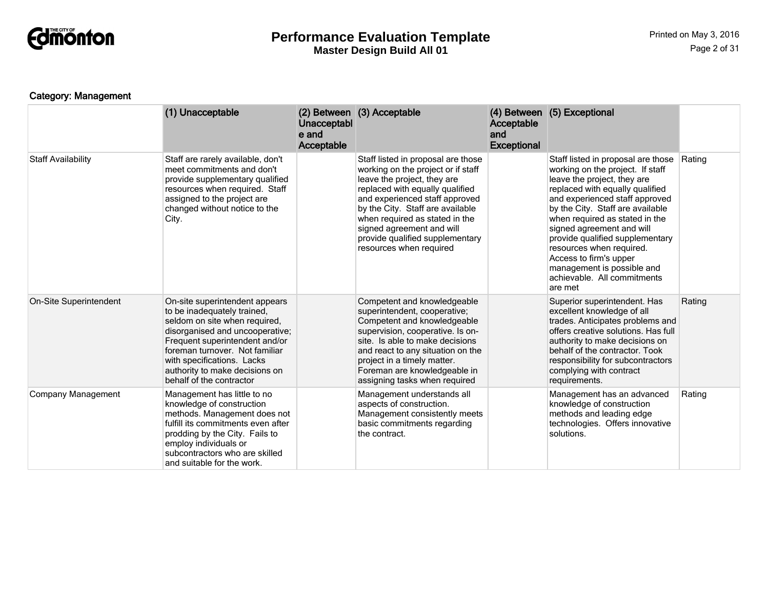

## Category: Management

|                           | (1) Unacceptable                                                                                                                                                                                                                                                                                  | Unacceptabl<br>e and<br>Acceptable | (2) Between (3) Acceptable                                                                                                                                                                                                                                                                                                                    | Acceptable<br>and<br><b>Exceptional</b> | (4) Between (5) Exceptional                                                                                                                                                                                                                                                                                                                                                                                                                    |        |
|---------------------------|---------------------------------------------------------------------------------------------------------------------------------------------------------------------------------------------------------------------------------------------------------------------------------------------------|------------------------------------|-----------------------------------------------------------------------------------------------------------------------------------------------------------------------------------------------------------------------------------------------------------------------------------------------------------------------------------------------|-----------------------------------------|------------------------------------------------------------------------------------------------------------------------------------------------------------------------------------------------------------------------------------------------------------------------------------------------------------------------------------------------------------------------------------------------------------------------------------------------|--------|
| <b>Staff Availability</b> | Staff are rarely available, don't<br>meet commitments and don't<br>provide supplementary qualified<br>resources when required. Staff<br>assigned to the project are<br>changed without notice to the<br>City.                                                                                     |                                    | Staff listed in proposal are those<br>working on the project or if staff<br>leave the project, they are<br>replaced with equally qualified<br>and experienced staff approved<br>by the City. Staff are available<br>when required as stated in the<br>signed agreement and will<br>provide qualified supplementary<br>resources when required |                                         | Staff listed in proposal are those<br>working on the project. If staff<br>leave the project, they are<br>replaced with equally qualified<br>and experienced staff approved<br>by the City. Staff are available<br>when required as stated in the<br>signed agreement and will<br>provide qualified supplementary<br>resources when required.<br>Access to firm's upper<br>management is possible and<br>achievable. All commitments<br>are met | Rating |
| On-Site Superintendent    | On-site superintendent appears<br>to be inadequately trained,<br>seldom on site when required,<br>disorganised and uncooperative;<br>Frequent superintendent and/or<br>foreman turnover. Not familiar<br>with specifications. Lacks<br>authority to make decisions on<br>behalf of the contractor |                                    | Competent and knowledgeable<br>superintendent, cooperative;<br>Competent and knowledgeable<br>supervision, cooperative. Is on-<br>site. Is able to make decisions<br>and react to any situation on the<br>project in a timely matter.<br>Foreman are knowledgeable in<br>assigning tasks when required                                        |                                         | Superior superintendent. Has<br>excellent knowledge of all<br>trades. Anticipates problems and<br>offers creative solutions. Has full<br>authority to make decisions on<br>behalf of the contractor. Took<br>responsibility for subcontractors<br>complying with contract<br>requirements.                                                                                                                                                     | Rating |
| <b>Company Management</b> | Management has little to no<br>knowledge of construction<br>methods. Management does not<br>fulfill its commitments even after<br>prodding by the City. Fails to<br>employ individuals or<br>subcontractors who are skilled<br>and suitable for the work.                                         |                                    | Management understands all<br>aspects of construction.<br>Management consistently meets<br>basic commitments regarding<br>the contract.                                                                                                                                                                                                       |                                         | Management has an advanced<br>knowledge of construction<br>methods and leading edge<br>technologies. Offers innovative<br>solutions.                                                                                                                                                                                                                                                                                                           | Rating |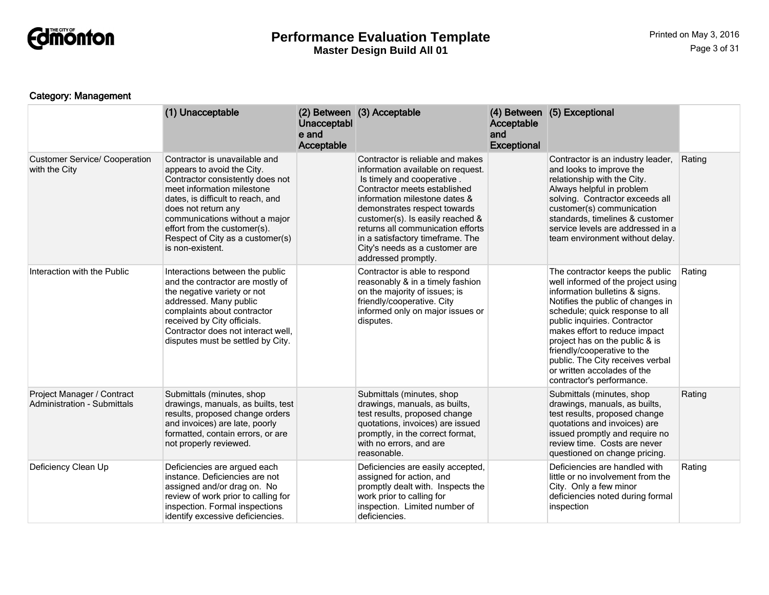

## Category: Management

|                                                                  | (1) Unacceptable                                                                                                                                                                                                                                                                                                    | Unacceptabl<br>e and<br>Acceptable | (2) Between (3) Acceptable                                                                                                                                                                                                                                                                                                                                                 | Acceptable<br>and<br><b>Exceptional</b> | (4) Between (5) Exceptional                                                                                                                                                                                                                                                                                                                                                                                       |        |
|------------------------------------------------------------------|---------------------------------------------------------------------------------------------------------------------------------------------------------------------------------------------------------------------------------------------------------------------------------------------------------------------|------------------------------------|----------------------------------------------------------------------------------------------------------------------------------------------------------------------------------------------------------------------------------------------------------------------------------------------------------------------------------------------------------------------------|-----------------------------------------|-------------------------------------------------------------------------------------------------------------------------------------------------------------------------------------------------------------------------------------------------------------------------------------------------------------------------------------------------------------------------------------------------------------------|--------|
| <b>Customer Service/ Cooperation</b><br>with the City            | Contractor is unavailable and<br>appears to avoid the City.<br>Contractor consistently does not<br>meet information milestone<br>dates, is difficult to reach, and<br>does not return any<br>communications without a major<br>effort from the customer(s).<br>Respect of City as a customer(s)<br>is non-existent. |                                    | Contractor is reliable and makes<br>information available on request.<br>Is timely and cooperative.<br>Contractor meets established<br>information milestone dates &<br>demonstrates respect towards<br>customer(s). Is easily reached &<br>returns all communication efforts<br>in a satisfactory timeframe. The<br>City's needs as a customer are<br>addressed promptly. |                                         | Contractor is an industry leader,<br>and looks to improve the<br>relationship with the City.<br>Always helpful in problem<br>solving. Contractor exceeds all<br>customer(s) communication<br>standards, timelines & customer<br>service levels are addressed in a<br>team environment without delay.                                                                                                              | Rating |
| Interaction with the Public                                      | Interactions between the public<br>and the contractor are mostly of<br>the negative variety or not<br>addressed. Many public<br>complaints about contractor<br>received by City officials.<br>Contractor does not interact well,<br>disputes must be settled by City.                                               |                                    | Contractor is able to respond<br>reasonably & in a timely fashion<br>on the majority of issues; is<br>friendly/cooperative. City<br>informed only on major issues or<br>disputes.                                                                                                                                                                                          |                                         | The contractor keeps the public<br>well informed of the project using<br>information bulletins & signs.<br>Notifies the public of changes in<br>schedule; quick response to all<br>public inquiries. Contractor<br>makes effort to reduce impact<br>project has on the public & is<br>friendly/cooperative to the<br>public. The City receives verbal<br>or written accolades of the<br>contractor's performance. | Rating |
| Project Manager / Contract<br><b>Administration - Submittals</b> | Submittals (minutes, shop<br>drawings, manuals, as builts, test<br>results, proposed change orders<br>and invoices) are late, poorly<br>formatted, contain errors, or are<br>not properly reviewed.                                                                                                                 |                                    | Submittals (minutes, shop<br>drawings, manuals, as builts,<br>test results, proposed change<br>quotations, invoices) are issued<br>promptly, in the correct format,<br>with no errors, and are<br>reasonable.                                                                                                                                                              |                                         | Submittals (minutes, shop<br>drawings, manuals, as builts,<br>test results, proposed change<br>quotations and invoices) are<br>issued promptly and require no<br>review time. Costs are never<br>questioned on change pricing.                                                                                                                                                                                    | Rating |
| Deficiency Clean Up                                              | Deficiencies are argued each<br>instance. Deficiencies are not<br>assigned and/or drag on. No<br>review of work prior to calling for<br>inspection. Formal inspections<br>identify excessive deficiencies.                                                                                                          |                                    | Deficiencies are easily accepted,<br>assigned for action, and<br>promptly dealt with. Inspects the<br>work prior to calling for<br>inspection. Limited number of<br>deficiencies.                                                                                                                                                                                          |                                         | Deficiencies are handled with<br>little or no involvement from the<br>City. Only a few minor<br>deficiencies noted during formal<br>inspection                                                                                                                                                                                                                                                                    | Rating |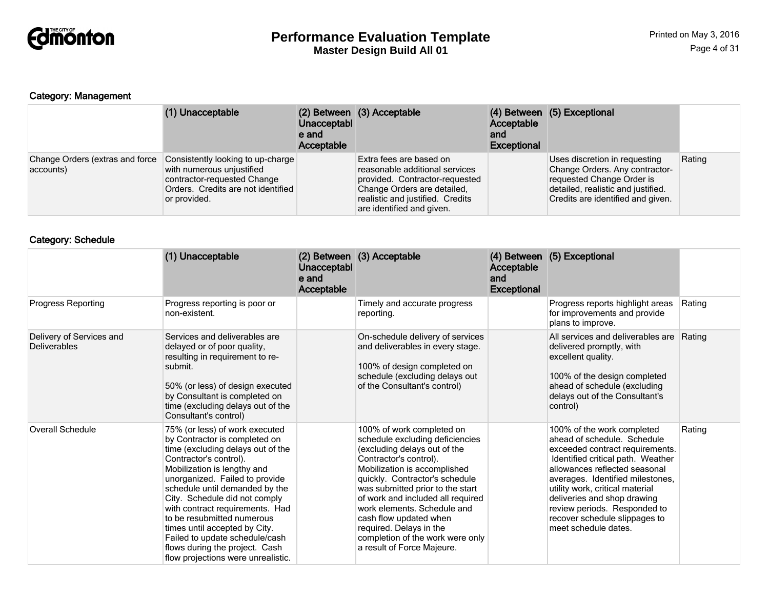

## Category: Management

|                                              | (1) Unacceptable                                                                                                                                    | Unacceptabl<br>e and<br>Acceptable | (2) Between (3) Acceptable                                                                                                                                                                  | Acceptable<br>and<br><b>Exceptional</b> | (4) Between (5) Exceptional                                                                                                                                             |        |
|----------------------------------------------|-----------------------------------------------------------------------------------------------------------------------------------------------------|------------------------------------|---------------------------------------------------------------------------------------------------------------------------------------------------------------------------------------------|-----------------------------------------|-------------------------------------------------------------------------------------------------------------------------------------------------------------------------|--------|
| Change Orders (extras and force<br>accounts) | Consistently looking to up-charge<br>with numerous unjustified<br>contractor-requested Change<br>Orders. Credits are not identified<br>or provided. |                                    | Extra fees are based on<br>reasonable additional services<br>provided. Contractor-requested<br>Change Orders are detailed.<br>realistic and justified. Credits<br>are identified and given. |                                         | Uses discretion in requesting<br>Change Orders. Any contractor-<br>requested Change Order is<br>detailed, realistic and justified.<br>Credits are identified and given. | Rating |

## Category: Schedule

|                                                 | (1) Unacceptable                                                                                                                                                                                                                                                                                                                                                                                                                                                               | Unacceptabl<br>e and<br>Acceptable | (2) Between (3) Acceptable                                                                                                                                                                                                                                                                                                                                                                                              | Acceptable<br>and<br><b>Exceptional</b> | (4) Between (5) Exceptional                                                                                                                                                                                                                                                                                                                                       |        |
|-------------------------------------------------|--------------------------------------------------------------------------------------------------------------------------------------------------------------------------------------------------------------------------------------------------------------------------------------------------------------------------------------------------------------------------------------------------------------------------------------------------------------------------------|------------------------------------|-------------------------------------------------------------------------------------------------------------------------------------------------------------------------------------------------------------------------------------------------------------------------------------------------------------------------------------------------------------------------------------------------------------------------|-----------------------------------------|-------------------------------------------------------------------------------------------------------------------------------------------------------------------------------------------------------------------------------------------------------------------------------------------------------------------------------------------------------------------|--------|
| <b>Progress Reporting</b>                       | Progress reporting is poor or<br>non-existent.                                                                                                                                                                                                                                                                                                                                                                                                                                 |                                    | Timely and accurate progress<br>reporting.                                                                                                                                                                                                                                                                                                                                                                              |                                         | Progress reports highlight areas<br>for improvements and provide<br>plans to improve.                                                                                                                                                                                                                                                                             | Rating |
| Delivery of Services and<br><b>Deliverables</b> | Services and deliverables are<br>delayed or of poor quality,<br>resulting in requirement to re-<br>submit.<br>50% (or less) of design executed<br>by Consultant is completed on<br>time (excluding delays out of the<br>Consultant's control)                                                                                                                                                                                                                                  |                                    | On-schedule delivery of services<br>and deliverables in every stage.<br>100% of design completed on<br>schedule (excluding delays out<br>of the Consultant's control)                                                                                                                                                                                                                                                   |                                         | All services and deliverables are<br>delivered promptly, with<br>excellent quality.<br>100% of the design completed<br>ahead of schedule (excluding<br>delays out of the Consultant's<br>control)                                                                                                                                                                 | Rating |
| <b>Overall Schedule</b>                         | 75% (or less) of work executed<br>by Contractor is completed on<br>time (excluding delays out of the<br>Contractor's control).<br>Mobilization is lengthy and<br>unorganized. Failed to provide<br>schedule until demanded by the<br>City. Schedule did not comply<br>with contract requirements. Had<br>to be resubmitted numerous<br>times until accepted by City.<br>Failed to update schedule/cash<br>flows during the project. Cash<br>flow projections were unrealistic. |                                    | 100% of work completed on<br>schedule excluding deficiencies<br>(excluding delays out of the<br>Contractor's control).<br>Mobilization is accomplished<br>quickly. Contractor's schedule<br>was submitted prior to the start<br>of work and included all required<br>work elements. Schedule and<br>cash flow updated when<br>required. Delays in the<br>completion of the work were only<br>a result of Force Majeure. |                                         | 100% of the work completed<br>ahead of schedule. Schedule<br>exceeded contract requirements.<br>Identified critical path. Weather<br>allowances reflected seasonal<br>averages. Identified milestones,<br>utility work, critical material<br>deliveries and shop drawing<br>review periods. Responded to<br>recover schedule slippages to<br>meet schedule dates. | Rating |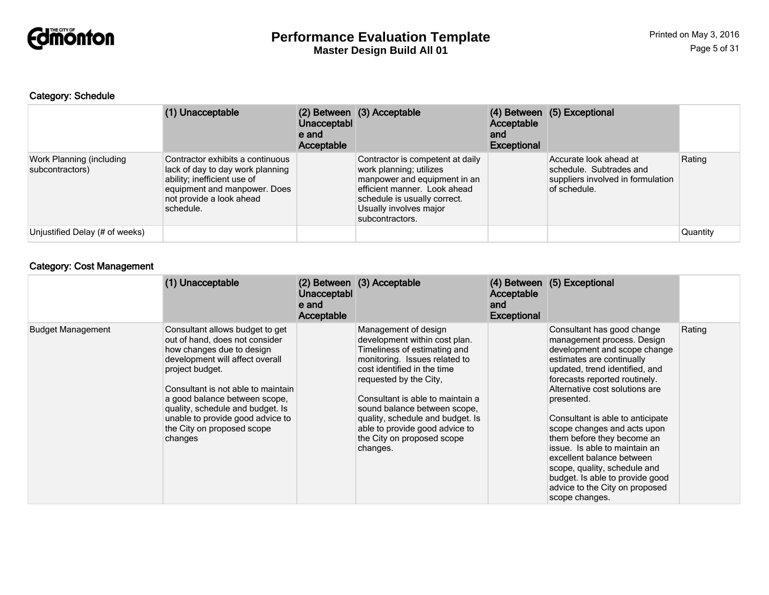

#### Category: Schedule

|                                             | (1) Unacceptable                                                                                                                                                             | Unacceptabl<br>e and<br>Acceptable | (2) Between (3) Acceptable                                                                                                                                                                               | Acceptable<br>and<br><b>Exceptional</b> | (4) Between (5) Exceptional                                                                            |          |
|---------------------------------------------|------------------------------------------------------------------------------------------------------------------------------------------------------------------------------|------------------------------------|----------------------------------------------------------------------------------------------------------------------------------------------------------------------------------------------------------|-----------------------------------------|--------------------------------------------------------------------------------------------------------|----------|
| Work Planning (including<br>subcontractors) | Contractor exhibits a continuous<br>lack of day to day work planning<br>ability; inefficient use of<br>equipment and manpower. Does<br>not provide a look ahead<br>schedule. |                                    | Contractor is competent at daily<br>work planning; utilizes<br>manpower and equipment in an<br>efficient manner. Look ahead<br>schedule is usually correct.<br>Usually involves major<br>subcontractors. |                                         | Accurate look ahead at<br>schedule. Subtrades and<br>suppliers involved in formulation<br>of schedule. | Rating   |
| Unjustified Delay (# of weeks)              |                                                                                                                                                                              |                                    |                                                                                                                                                                                                          |                                         |                                                                                                        | Quantity |

## Category: Cost Management

|                          | (1) Unacceptable                                                                                                                                                                                                                                                                                                                             | Unacceptabl<br>e and<br>Acceptable | (2) Between (3) Acceptable                                                                                                                                                                                                                                                                                                                                          | Acceptable<br>and<br><b>Exceptional</b> | (4) Between (5) Exceptional                                                                                                                                                                                                                                                                                                                                                                                                                                                                                                    |        |
|--------------------------|----------------------------------------------------------------------------------------------------------------------------------------------------------------------------------------------------------------------------------------------------------------------------------------------------------------------------------------------|------------------------------------|---------------------------------------------------------------------------------------------------------------------------------------------------------------------------------------------------------------------------------------------------------------------------------------------------------------------------------------------------------------------|-----------------------------------------|--------------------------------------------------------------------------------------------------------------------------------------------------------------------------------------------------------------------------------------------------------------------------------------------------------------------------------------------------------------------------------------------------------------------------------------------------------------------------------------------------------------------------------|--------|
| <b>Budget Management</b> | Consultant allows budget to get<br>out of hand, does not consider<br>how changes due to design<br>development will affect overall<br>project budget.<br>Consultant is not able to maintain<br>a good balance between scope,<br>quality, schedule and budget. Is<br>unable to provide good advice to<br>the City on proposed scope<br>changes |                                    | Management of design<br>development within cost plan.<br>Timeliness of estimating and<br>monitoring. Issues related to<br>cost identified in the time<br>requested by the City,<br>Consultant is able to maintain a<br>sound balance between scope,<br>quality, schedule and budget. Is<br>able to provide good advice to<br>the City on proposed scope<br>changes. |                                         | Consultant has good change<br>management process. Design<br>development and scope change<br>estimates are continually<br>updated, trend identified, and<br>forecasts reported routinely.<br>Alternative cost solutions are<br>presented.<br>Consultant is able to anticipate<br>scope changes and acts upon<br>them before they become an<br>issue. Is able to maintain an<br>excellent balance between<br>scope, quality, schedule and<br>budget. Is able to provide good<br>advice to the City on proposed<br>scope changes. | Rating |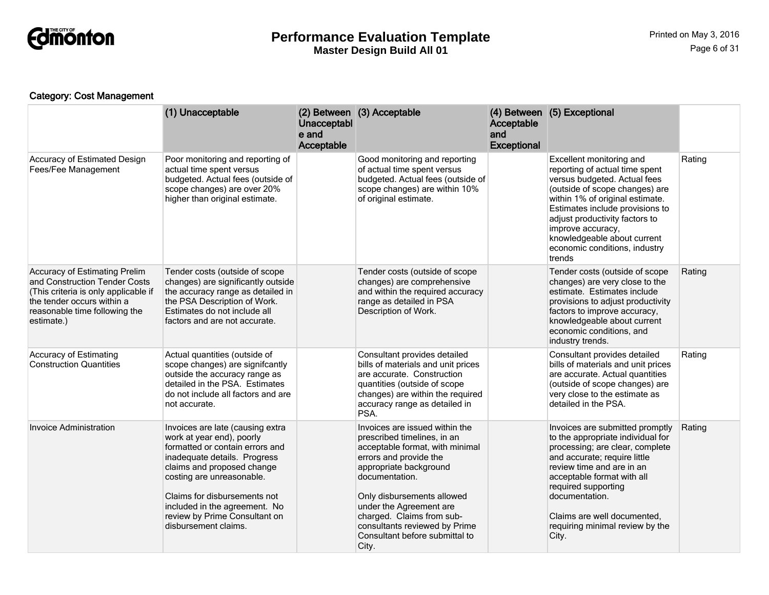

## Category: Cost Management

|                                                                                                                                                                                     | (1) Unacceptable                                                                                                                                                                                                                                                                                                      | Unacceptabl<br>e and<br>Acceptable | (2) Between (3) Acceptable                                                                                                                                                                                                                                                                                                               | Acceptable<br>and<br><b>Exceptional</b> | (4) Between (5) Exceptional                                                                                                                                                                                                                                                                                                         |        |
|-------------------------------------------------------------------------------------------------------------------------------------------------------------------------------------|-----------------------------------------------------------------------------------------------------------------------------------------------------------------------------------------------------------------------------------------------------------------------------------------------------------------------|------------------------------------|------------------------------------------------------------------------------------------------------------------------------------------------------------------------------------------------------------------------------------------------------------------------------------------------------------------------------------------|-----------------------------------------|-------------------------------------------------------------------------------------------------------------------------------------------------------------------------------------------------------------------------------------------------------------------------------------------------------------------------------------|--------|
| Accuracy of Estimated Design<br>Fees/Fee Management                                                                                                                                 | Poor monitoring and reporting of<br>actual time spent versus<br>budgeted. Actual fees (outside of<br>scope changes) are over 20%<br>higher than original estimate.                                                                                                                                                    |                                    | Good monitoring and reporting<br>of actual time spent versus<br>budgeted. Actual fees (outside of<br>scope changes) are within 10%<br>of original estimate.                                                                                                                                                                              |                                         | Excellent monitoring and<br>reporting of actual time spent<br>versus budgeted. Actual fees<br>(outside of scope changes) are<br>within 1% of original estimate.<br>Estimates include provisions to<br>adjust productivity factors to<br>improve accuracy,<br>knowledgeable about current<br>economic conditions, industry<br>trends | Rating |
| Accuracy of Estimating Prelim<br>and Construction Tender Costs<br>(This criteria is only applicable if<br>the tender occurs within a<br>reasonable time following the<br>estimate.) | Tender costs (outside of scope<br>changes) are significantly outside<br>the accuracy range as detailed in<br>the PSA Description of Work.<br>Estimates do not include all<br>factors and are not accurate.                                                                                                            |                                    | Tender costs (outside of scope<br>changes) are comprehensive<br>and within the required accuracy<br>range as detailed in PSA<br>Description of Work.                                                                                                                                                                                     |                                         | Tender costs (outside of scope<br>changes) are very close to the<br>estimate. Estimates include<br>provisions to adjust productivity<br>factors to improve accuracy,<br>knowledgeable about current<br>economic conditions, and<br>industry trends.                                                                                 | Rating |
| <b>Accuracy of Estimating</b><br><b>Construction Quantities</b>                                                                                                                     | Actual quantities (outside of<br>scope changes) are signifcantly<br>outside the accuracy range as<br>detailed in the PSA. Estimates<br>do not include all factors and are<br>not accurate.                                                                                                                            |                                    | Consultant provides detailed<br>bills of materials and unit prices<br>are accurate. Construction<br>quantities (outside of scope<br>changes) are within the required<br>accuracy range as detailed in<br>PSA.                                                                                                                            |                                         | Consultant provides detailed<br>bills of materials and unit prices<br>are accurate. Actual quantities<br>(outside of scope changes) are<br>very close to the estimate as<br>detailed in the PSA.                                                                                                                                    | Rating |
| Invoice Administration                                                                                                                                                              | Invoices are late (causing extra<br>work at year end), poorly<br>formatted or contain errors and<br>inadequate details. Progress<br>claims and proposed change<br>costing are unreasonable.<br>Claims for disbursements not<br>included in the agreement. No<br>review by Prime Consultant on<br>disbursement claims. |                                    | Invoices are issued within the<br>prescribed timelines, in an<br>acceptable format, with minimal<br>errors and provide the<br>appropriate background<br>documentation.<br>Only disbursements allowed<br>under the Agreement are<br>charged. Claims from sub-<br>consultants reviewed by Prime<br>Consultant before submittal to<br>City. |                                         | Invoices are submitted promptly<br>to the appropriate individual for<br>processing; are clear, complete<br>and accurate; require little<br>review time and are in an<br>acceptable format with all<br>required supporting<br>documentation.<br>Claims are well documented,<br>requiring minimal review by the<br>City.              | Rating |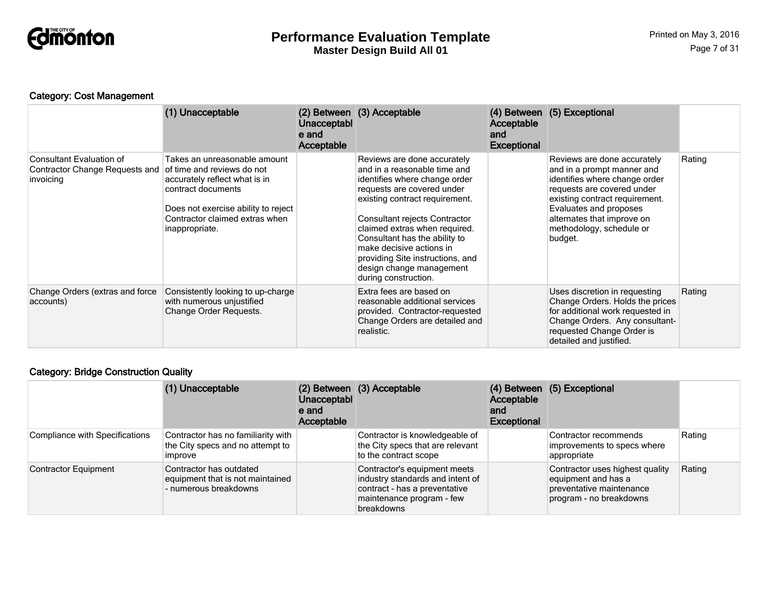

## Category: Cost Management

|                                                                         | (1) Unacceptable                                                                                                                                                                                             | Unacceptabl<br>e and<br>Acceptable | (2) Between (3) Acceptable                                                                                                                                                                                                                                                                                                                                                          | Acceptable<br>and<br><b>Exceptional</b> | (4) Between (5) Exceptional                                                                                                                                                                                                                               |        |
|-------------------------------------------------------------------------|--------------------------------------------------------------------------------------------------------------------------------------------------------------------------------------------------------------|------------------------------------|-------------------------------------------------------------------------------------------------------------------------------------------------------------------------------------------------------------------------------------------------------------------------------------------------------------------------------------------------------------------------------------|-----------------------------------------|-----------------------------------------------------------------------------------------------------------------------------------------------------------------------------------------------------------------------------------------------------------|--------|
| Consultant Evaluation of<br>Contractor Change Requests and<br>invoicing | Takes an unreasonable amount<br>of time and reviews do not<br>accurately reflect what is in<br>contract documents<br>Does not exercise ability to reject<br>Contractor claimed extras when<br>inappropriate. |                                    | Reviews are done accurately<br>and in a reasonable time and<br>identifies where change order<br>requests are covered under<br>existing contract requirement.<br>Consultant rejects Contractor<br>claimed extras when required.<br>Consultant has the ability to<br>make decisive actions in<br>providing Site instructions, and<br>design change management<br>during construction. |                                         | Reviews are done accurately<br>and in a prompt manner and<br>identifies where change order<br>requests are covered under<br>existing contract requirement.<br>Evaluates and proposes<br>alternates that improve on<br>methodology, schedule or<br>budget. | Rating |
| Change Orders (extras and force<br>accounts)                            | Consistently looking to up-charge<br>with numerous unjustified<br>Change Order Requests.                                                                                                                     |                                    | Extra fees are based on<br>reasonable additional services<br>provided. Contractor-requested<br>Change Orders are detailed and<br>realistic.                                                                                                                                                                                                                                         |                                         | Uses discretion in requesting<br>Change Orders. Holds the prices<br>for additional work requested in<br>Change Orders. Any consultant-<br>requested Change Order is<br>detailed and justified.                                                            | Rating |

## Category: Bridge Construction Quality

|                                | (1) Unacceptable                                                                         | Unacceptabl<br>e and<br>Acceptable | (2) Between (3) Acceptable                                                                                                                   | Acceptable<br>and<br><b>Exceptional</b> | (4) Between (5) Exceptional                                                                                   |        |
|--------------------------------|------------------------------------------------------------------------------------------|------------------------------------|----------------------------------------------------------------------------------------------------------------------------------------------|-----------------------------------------|---------------------------------------------------------------------------------------------------------------|--------|
| Compliance with Specifications | Contractor has no familiarity with<br>the City specs and no attempt to<br><b>Improve</b> |                                    | Contractor is knowledgeable of<br>the City specs that are relevant<br>to the contract scope                                                  |                                         | Contractor recommends<br>improvements to specs where<br>appropriate                                           | Rating |
| <b>Contractor Equipment</b>    | Contractor has outdated<br>equipment that is not maintained<br>- numerous breakdowns     |                                    | Contractor's equipment meets<br>industry standards and intent of<br>contract - has a preventative<br>maintenance program - few<br>breakdowns |                                         | Contractor uses highest quality<br>equipment and has a<br>preventative maintenance<br>program - no breakdowns | Rating |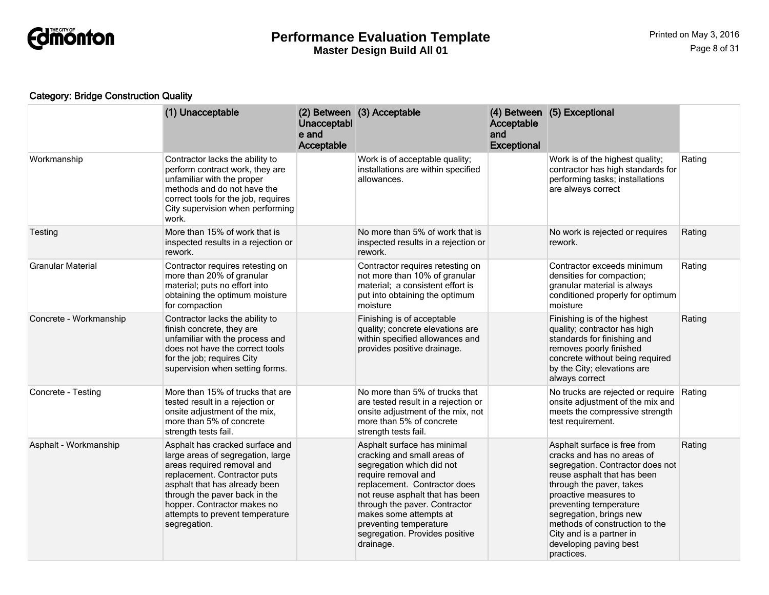

## Category: Bridge Construction Quality

|                        | (1) Unacceptable                                                                                                                                                                                                                                                                       | Unacceptabl<br>e and<br>Acceptable | (2) Between (3) Acceptable                                                                                                                                                                                                                                                                                            | Acceptable<br>and<br><b>Exceptional</b> | (4) Between (5) Exceptional                                                                                                                                                                                                                                                                                                                   |        |
|------------------------|----------------------------------------------------------------------------------------------------------------------------------------------------------------------------------------------------------------------------------------------------------------------------------------|------------------------------------|-----------------------------------------------------------------------------------------------------------------------------------------------------------------------------------------------------------------------------------------------------------------------------------------------------------------------|-----------------------------------------|-----------------------------------------------------------------------------------------------------------------------------------------------------------------------------------------------------------------------------------------------------------------------------------------------------------------------------------------------|--------|
| Workmanship            | Contractor lacks the ability to<br>perform contract work, they are<br>unfamiliar with the proper<br>methods and do not have the<br>correct tools for the job, requires<br>City supervision when performing<br>work.                                                                    |                                    | Work is of acceptable quality;<br>installations are within specified<br>allowances.                                                                                                                                                                                                                                   |                                         | Work is of the highest quality;<br>contractor has high standards for<br>performing tasks; installations<br>are always correct                                                                                                                                                                                                                 | Rating |
| Testing                | More than 15% of work that is<br>inspected results in a rejection or<br>rework.                                                                                                                                                                                                        |                                    | No more than 5% of work that is<br>inspected results in a rejection or<br>rework.                                                                                                                                                                                                                                     |                                         | No work is rejected or requires<br>rework.                                                                                                                                                                                                                                                                                                    | Rating |
| Granular Material      | Contractor requires retesting on<br>more than 20% of granular<br>material; puts no effort into<br>obtaining the optimum moisture<br>for compaction                                                                                                                                     |                                    | Contractor requires retesting on<br>not more than 10% of granular<br>material; a consistent effort is<br>put into obtaining the optimum<br>moisture                                                                                                                                                                   |                                         | Contractor exceeds minimum<br>densities for compaction;<br>granular material is always<br>conditioned properly for optimum<br>moisture                                                                                                                                                                                                        | Rating |
| Concrete - Workmanship | Contractor lacks the ability to<br>finish concrete, they are<br>unfamiliar with the process and<br>does not have the correct tools<br>for the job; requires City<br>supervision when setting forms.                                                                                    |                                    | Finishing is of acceptable<br>quality; concrete elevations are<br>within specified allowances and<br>provides positive drainage.                                                                                                                                                                                      |                                         | Finishing is of the highest<br>quality; contractor has high<br>standards for finishing and<br>removes poorly finished<br>concrete without being required<br>by the City; elevations are<br>always correct                                                                                                                                     | Rating |
| Concrete - Testing     | More than 15% of trucks that are<br>tested result in a rejection or<br>onsite adjustment of the mix,<br>more than 5% of concrete<br>strength tests fail.                                                                                                                               |                                    | No more than 5% of trucks that<br>are tested result in a rejection or<br>onsite adjustment of the mix, not<br>more than 5% of concrete<br>strength tests fail.                                                                                                                                                        |                                         | No trucks are rejected or require<br>onsite adjustment of the mix and<br>meets the compressive strength<br>test requirement.                                                                                                                                                                                                                  | Rating |
| Asphalt - Workmanship  | Asphalt has cracked surface and<br>large areas of segregation, large<br>areas required removal and<br>replacement. Contractor puts<br>asphalt that has already been<br>through the paver back in the<br>hopper. Contractor makes no<br>attempts to prevent temperature<br>segregation. |                                    | Asphalt surface has minimal<br>cracking and small areas of<br>segregation which did not<br>require removal and<br>replacement. Contractor does<br>not reuse asphalt that has been<br>through the paver. Contractor<br>makes some attempts at<br>preventing temperature<br>segregation. Provides positive<br>drainage. |                                         | Asphalt surface is free from<br>cracks and has no areas of<br>segregation. Contractor does not<br>reuse asphalt that has been<br>through the paver, takes<br>proactive measures to<br>preventing temperature<br>segregation, brings new<br>methods of construction to the<br>City and is a partner in<br>developing paving best<br>practices. | Rating |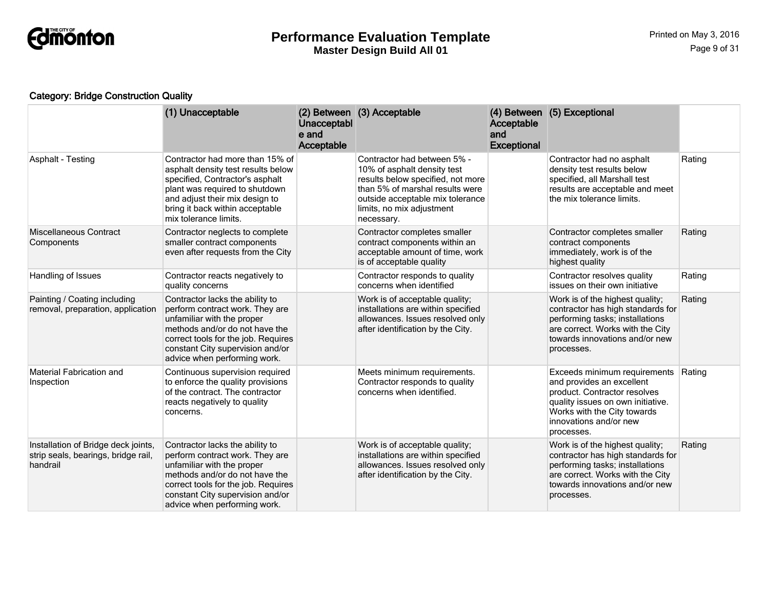

## Category: Bridge Construction Quality

|                                                                                        | (1) Unacceptable                                                                                                                                                                                                                              | Unacceptabl<br>e and<br>Acceptable | (2) Between (3) Acceptable                                                                                                                                                                                        | Acceptable<br>and<br><b>Exceptional</b> | (4) Between (5) Exceptional                                                                                                                                                                           |        |
|----------------------------------------------------------------------------------------|-----------------------------------------------------------------------------------------------------------------------------------------------------------------------------------------------------------------------------------------------|------------------------------------|-------------------------------------------------------------------------------------------------------------------------------------------------------------------------------------------------------------------|-----------------------------------------|-------------------------------------------------------------------------------------------------------------------------------------------------------------------------------------------------------|--------|
| <b>Asphalt - Testing</b>                                                               | Contractor had more than 15% of<br>asphalt density test results below<br>specified, Contractor's asphalt<br>plant was required to shutdown<br>and adjust their mix design to<br>bring it back within acceptable<br>mix tolerance limits.      |                                    | Contractor had between 5% -<br>10% of asphalt density test<br>results below specified, not more<br>than 5% of marshal results were<br>outside acceptable mix tolerance<br>limits, no mix adjustment<br>necessary. |                                         | Contractor had no asphalt<br>density test results below<br>specified, all Marshall test<br>results are acceptable and meet<br>the mix tolerance limits.                                               | Rating |
| <b>Miscellaneous Contract</b><br>Components                                            | Contractor neglects to complete<br>smaller contract components<br>even after requests from the City                                                                                                                                           |                                    | Contractor completes smaller<br>contract components within an<br>acceptable amount of time, work<br>is of acceptable quality                                                                                      |                                         | Contractor completes smaller<br>contract components<br>immediately, work is of the<br>highest quality                                                                                                 | Rating |
| Handling of Issues                                                                     | Contractor reacts negatively to<br>quality concerns                                                                                                                                                                                           |                                    | Contractor responds to quality<br>concerns when identified                                                                                                                                                        |                                         | Contractor resolves quality<br>issues on their own initiative                                                                                                                                         | Rating |
| Painting / Coating including<br>removal, preparation, application                      | Contractor lacks the ability to<br>perform contract work. They are<br>unfamiliar with the proper<br>methods and/or do not have the<br>correct tools for the job. Requires<br>constant City supervision and/or<br>advice when performing work. |                                    | Work is of acceptable quality;<br>installations are within specified<br>allowances. Issues resolved only<br>after identification by the City.                                                                     |                                         | Work is of the highest quality;<br>contractor has high standards for<br>performing tasks; installations<br>are correct. Works with the City<br>towards innovations and/or new<br>processes.           | Rating |
| <b>Material Fabrication and</b><br>Inspection                                          | Continuous supervision required<br>to enforce the quality provisions<br>of the contract. The contractor<br>reacts negatively to quality<br>concerns.                                                                                          |                                    | Meets minimum requirements.<br>Contractor responds to quality<br>concerns when identified.                                                                                                                        |                                         | Exceeds minimum requirements<br>and provides an excellent<br>product. Contractor resolves<br>quality issues on own initiative.<br>Works with the City towards<br>innovations and/or new<br>processes. | Rating |
| Installation of Bridge deck joints,<br>strip seals, bearings, bridge rail,<br>handrail | Contractor lacks the ability to<br>perform contract work. They are<br>unfamiliar with the proper<br>methods and/or do not have the<br>correct tools for the job. Requires<br>constant City supervision and/or<br>advice when performing work. |                                    | Work is of acceptable quality;<br>installations are within specified<br>allowances. Issues resolved only<br>after identification by the City.                                                                     |                                         | Work is of the highest quality;<br>contractor has high standards for<br>performing tasks; installations<br>are correct. Works with the City<br>towards innovations and/or new<br>processes.           | Rating |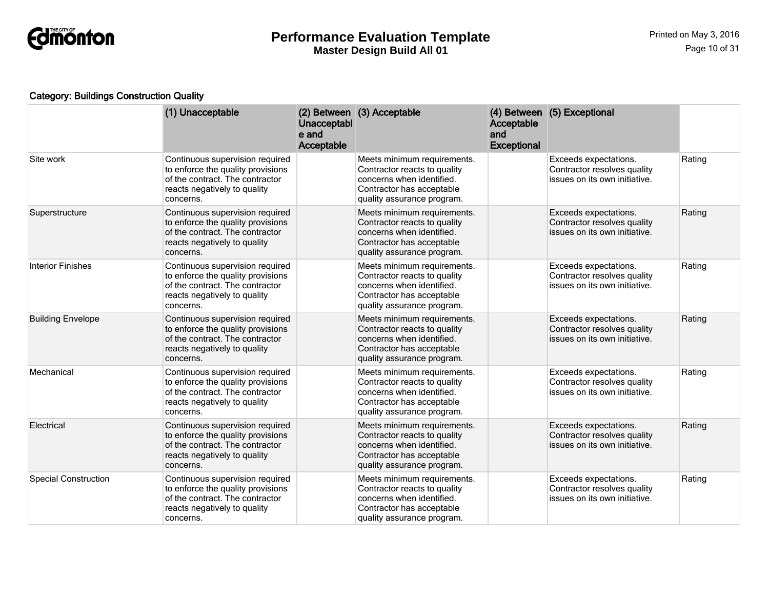

## Category: Buildings Construction Quality

|                             | (1) Unacceptable                                                                                                                                     | Unacceptabl<br>e and<br>Acceptable | (2) Between (3) Acceptable                                                                                                                          | <b>Acceptable</b><br>and<br><b>Exceptional</b> | (4) Between (5) Exceptional                                                           |        |
|-----------------------------|------------------------------------------------------------------------------------------------------------------------------------------------------|------------------------------------|-----------------------------------------------------------------------------------------------------------------------------------------------------|------------------------------------------------|---------------------------------------------------------------------------------------|--------|
| Site work                   | Continuous supervision required<br>to enforce the quality provisions<br>of the contract. The contractor<br>reacts negatively to quality<br>concerns. |                                    | Meets minimum requirements.<br>Contractor reacts to quality<br>concerns when identified.<br>Contractor has acceptable<br>quality assurance program. |                                                | Exceeds expectations.<br>Contractor resolves quality<br>issues on its own initiative. | Rating |
| Superstructure              | Continuous supervision required<br>to enforce the quality provisions<br>of the contract. The contractor<br>reacts negatively to quality<br>concerns. |                                    | Meets minimum requirements.<br>Contractor reacts to quality<br>concerns when identified.<br>Contractor has acceptable<br>quality assurance program. |                                                | Exceeds expectations.<br>Contractor resolves quality<br>issues on its own initiative. | Rating |
| <b>Interior Finishes</b>    | Continuous supervision required<br>to enforce the quality provisions<br>of the contract. The contractor<br>reacts negatively to quality<br>concerns. |                                    | Meets minimum requirements.<br>Contractor reacts to quality<br>concerns when identified.<br>Contractor has acceptable<br>quality assurance program. |                                                | Exceeds expectations.<br>Contractor resolves quality<br>issues on its own initiative. | Rating |
| <b>Building Envelope</b>    | Continuous supervision required<br>to enforce the quality provisions<br>of the contract. The contractor<br>reacts negatively to quality<br>concerns. |                                    | Meets minimum requirements.<br>Contractor reacts to quality<br>concerns when identified.<br>Contractor has acceptable<br>quality assurance program. |                                                | Exceeds expectations.<br>Contractor resolves quality<br>issues on its own initiative. | Rating |
| Mechanical                  | Continuous supervision required<br>to enforce the quality provisions<br>of the contract. The contractor<br>reacts negatively to quality<br>concerns. |                                    | Meets minimum requirements.<br>Contractor reacts to quality<br>concerns when identified.<br>Contractor has acceptable<br>quality assurance program. |                                                | Exceeds expectations.<br>Contractor resolves quality<br>issues on its own initiative. | Rating |
| Electrical                  | Continuous supervision required<br>to enforce the quality provisions<br>of the contract. The contractor<br>reacts negatively to quality<br>concerns. |                                    | Meets minimum requirements.<br>Contractor reacts to quality<br>concerns when identified.<br>Contractor has acceptable<br>quality assurance program. |                                                | Exceeds expectations.<br>Contractor resolves quality<br>issues on its own initiative. | Rating |
| <b>Special Construction</b> | Continuous supervision required<br>to enforce the quality provisions<br>of the contract. The contractor<br>reacts negatively to quality<br>concerns. |                                    | Meets minimum requirements.<br>Contractor reacts to quality<br>concerns when identified.<br>Contractor has acceptable<br>quality assurance program. |                                                | Exceeds expectations.<br>Contractor resolves quality<br>issues on its own initiative. | Rating |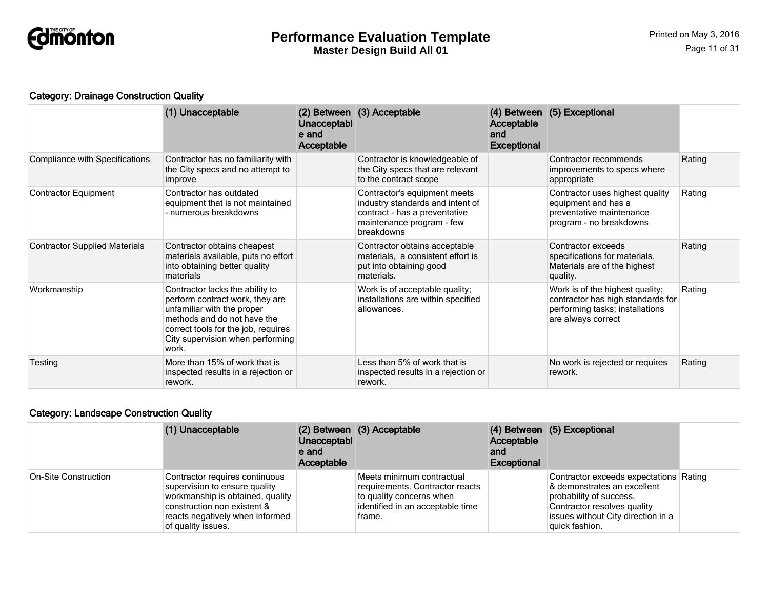

#### Category: Drainage Construction Quality

|                                       | (1) Unacceptable                                                                                                                                                                                                    | Unacceptabl<br>e and<br>Acceptable | (2) Between (3) Acceptable                                                                                                                   | Acceptable<br>and<br><b>Exceptional</b> | (4) Between (5) Exceptional                                                                                                   |        |
|---------------------------------------|---------------------------------------------------------------------------------------------------------------------------------------------------------------------------------------------------------------------|------------------------------------|----------------------------------------------------------------------------------------------------------------------------------------------|-----------------------------------------|-------------------------------------------------------------------------------------------------------------------------------|--------|
| <b>Compliance with Specifications</b> | Contractor has no familiarity with<br>the City specs and no attempt to<br>improve                                                                                                                                   |                                    | Contractor is knowledgeable of<br>the City specs that are relevant<br>to the contract scope                                                  |                                         | Contractor recommends<br>improvements to specs where<br>appropriate                                                           | Rating |
| <b>Contractor Equipment</b>           | Contractor has outdated<br>equipment that is not maintained<br>- numerous breakdowns                                                                                                                                |                                    | Contractor's equipment meets<br>industry standards and intent of<br>contract - has a preventative<br>maintenance program - few<br>breakdowns |                                         | Contractor uses highest quality<br>equipment and has a<br>preventative maintenance<br>program - no breakdowns                 | Rating |
| <b>Contractor Supplied Materials</b>  | Contractor obtains cheapest<br>materials available, puts no effort<br>into obtaining better quality<br>materials                                                                                                    |                                    | Contractor obtains acceptable<br>materials, a consistent effort is<br>put into obtaining good<br>materials.                                  |                                         | Contractor exceeds<br>specifications for materials.<br>Materials are of the highest<br>quality.                               | Rating |
| Workmanship                           | Contractor lacks the ability to<br>perform contract work, they are<br>unfamiliar with the proper<br>methods and do not have the<br>correct tools for the job, requires<br>City supervision when performing<br>work. |                                    | Work is of acceptable quality;<br>installations are within specified<br>allowances.                                                          |                                         | Work is of the highest quality;<br>contractor has high standards for<br>performing tasks; installations<br>are always correct | Rating |
| Testing                               | More than 15% of work that is<br>inspected results in a rejection or<br>rework.                                                                                                                                     |                                    | Less than 5% of work that is<br>inspected results in a rejection or<br>rework.                                                               |                                         | No work is rejected or requires<br>rework.                                                                                    | Rating |

## Category: Landscape Construction Quality

|                      | (1) Unacceptable                                                                                                                                                                            | Unacceptabl<br>e and<br>Acceptable | (2) Between (3) Acceptable                                                                                                             | Acceptable<br>and<br>Exceptional | (4) Between (5) Exceptional                                                                                                                                                             |  |
|----------------------|---------------------------------------------------------------------------------------------------------------------------------------------------------------------------------------------|------------------------------------|----------------------------------------------------------------------------------------------------------------------------------------|----------------------------------|-----------------------------------------------------------------------------------------------------------------------------------------------------------------------------------------|--|
| On-Site Construction | Contractor requires continuous<br>supervision to ensure quality<br>workmanship is obtained, quality<br>construction non existent &<br>reacts negatively when informed<br>of quality issues. |                                    | Meets minimum contractual<br>requirements. Contractor reacts<br>to quality concerns when<br>identified in an acceptable time<br>frame. |                                  | Contractor exceeds expectations Rating<br>& demonstrates an excellent<br>probability of success.<br>Contractor resolves quality<br>issues without City direction in a<br>quick fashion. |  |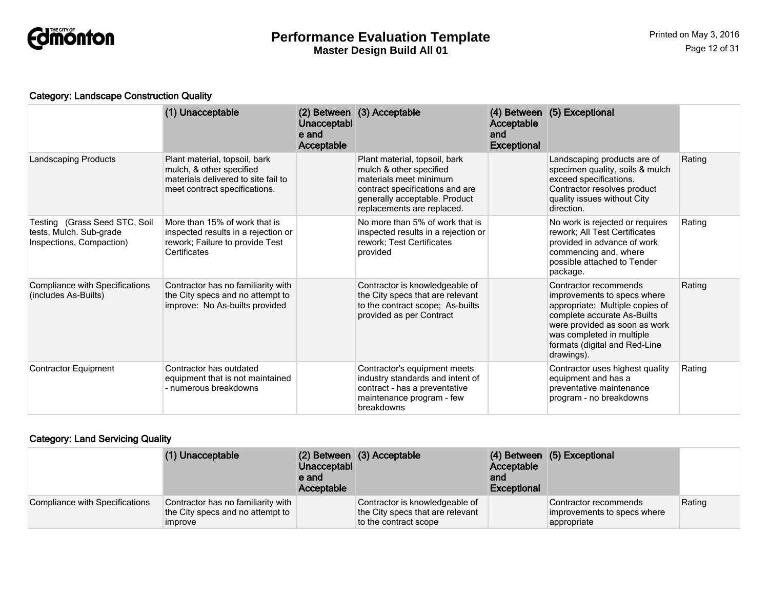

#### Category: Landscape Construction Quality

|                                                                                      | (1) Unacceptable                                                                                                                  | Unacceptabl<br>e and<br><b>Acceptable</b> | (2) Between (3) Acceptable                                                                                                                                                           | Acceptable<br>and<br><b>Exceptional</b> | (4) Between (5) Exceptional                                                                                                                                                                                                         |        |
|--------------------------------------------------------------------------------------|-----------------------------------------------------------------------------------------------------------------------------------|-------------------------------------------|--------------------------------------------------------------------------------------------------------------------------------------------------------------------------------------|-----------------------------------------|-------------------------------------------------------------------------------------------------------------------------------------------------------------------------------------------------------------------------------------|--------|
| <b>Landscaping Products</b>                                                          | Plant material, topsoil, bark<br>mulch, & other specified<br>materials delivered to site fail to<br>meet contract specifications. |                                           | Plant material, topsoil, bark<br>mulch & other specified<br>materials meet minimum<br>contract specifications and are<br>generally acceptable. Product<br>replacements are replaced. |                                         | Landscaping products are of<br>specimen quality, soils & mulch<br>exceed specifications.<br>Contractor resolves product<br>quality issues without City<br>direction.                                                                | Rating |
| Testing (Grass Seed STC, Soil<br>tests, Mulch. Sub-grade<br>Inspections, Compaction) | More than 15% of work that is<br>inspected results in a rejection or<br>rework; Failure to provide Test<br>Certificates           |                                           | No more than 5% of work that is<br>inspected results in a rejection or<br>rework; Test Certificates<br>provided                                                                      |                                         | No work is rejected or requires<br>rework; All Test Certificates<br>provided in advance of work<br>commencing and, where<br>possible attached to Tender<br>package.                                                                 | Rating |
| <b>Compliance with Specifications</b><br>(includes As-Builts)                        | Contractor has no familiarity with<br>the City specs and no attempt to<br>improve: No As-builts provided                          |                                           | Contractor is knowledgeable of<br>the City specs that are relevant<br>to the contract scope; As-builts<br>provided as per Contract                                                   |                                         | Contractor recommends<br>improvements to specs where<br>appropriate: Multiple copies of<br>complete accurate As-Builts<br>were provided as soon as work<br>was completed in multiple<br>formats (digital and Red-Line<br>drawings). | Rating |
| <b>Contractor Equipment</b>                                                          | Contractor has outdated<br>equipment that is not maintained<br>- numerous breakdowns                                              |                                           | Contractor's equipment meets<br>industry standards and intent of<br>contract - has a preventative<br>maintenance program - few<br>breakdowns                                         |                                         | Contractor uses highest quality<br>equipment and has a<br>preventative maintenance<br>program - no breakdowns                                                                                                                       | Rating |

## Category: Land Servicing Quality

|                                | (1) Unacceptable                                                                         | <b>Unacceptabl</b><br>e and<br>Acceptable | (2) Between (3) Acceptable                                                                  | Acceptable<br>and<br><b>Exceptional</b> | (4) Between (5) Exceptional                                         |        |
|--------------------------------|------------------------------------------------------------------------------------------|-------------------------------------------|---------------------------------------------------------------------------------------------|-----------------------------------------|---------------------------------------------------------------------|--------|
| Compliance with Specifications | Contractor has no familiarity with<br>the City specs and no attempt to<br><i>improve</i> |                                           | Contractor is knowledgeable of<br>the City specs that are relevant<br>to the contract scope |                                         | Contractor recommends<br>improvements to specs where<br>appropriate | Rating |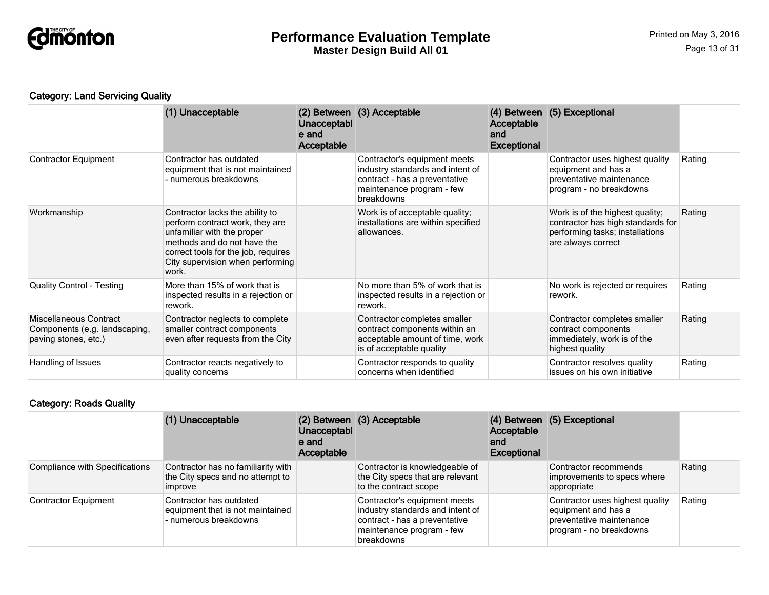

## Category: Land Servicing Quality

|                                                                                 | (1) Unacceptable                                                                                                                                                                                                    | Unacceptabl<br>e and<br>Acceptable | (2) Between (3) Acceptable                                                                                                                   | Acceptable<br>and<br><b>Exceptional</b> | (4) Between (5) Exceptional                                                                                                   |        |
|---------------------------------------------------------------------------------|---------------------------------------------------------------------------------------------------------------------------------------------------------------------------------------------------------------------|------------------------------------|----------------------------------------------------------------------------------------------------------------------------------------------|-----------------------------------------|-------------------------------------------------------------------------------------------------------------------------------|--------|
| Contractor Equipment                                                            | Contractor has outdated<br>equipment that is not maintained<br>- numerous breakdowns                                                                                                                                |                                    | Contractor's equipment meets<br>industry standards and intent of<br>contract - has a preventative<br>maintenance program - few<br>breakdowns |                                         | Contractor uses highest quality<br>equipment and has a<br>preventative maintenance<br>program - no breakdowns                 | Rating |
| Workmanship                                                                     | Contractor lacks the ability to<br>perform contract work, they are<br>unfamiliar with the proper<br>methods and do not have the<br>correct tools for the job, requires<br>City supervision when performing<br>work. |                                    | Work is of acceptable quality;<br>installations are within specified<br>allowances.                                                          |                                         | Work is of the highest quality;<br>contractor has high standards for<br>performing tasks; installations<br>are always correct | Rating |
| <b>Quality Control - Testing</b>                                                | More than 15% of work that is<br>inspected results in a rejection or<br>rework.                                                                                                                                     |                                    | No more than 5% of work that is<br>inspected results in a rejection or<br>rework.                                                            |                                         | No work is rejected or requires<br>rework.                                                                                    | Rating |
| Miscellaneous Contract<br>Components (e.g. landscaping,<br>paving stones, etc.) | Contractor neglects to complete<br>smaller contract components<br>even after requests from the City                                                                                                                 |                                    | Contractor completes smaller<br>contract components within an<br>acceptable amount of time, work<br>is of acceptable quality                 |                                         | Contractor completes smaller<br>contract components<br>immediately, work is of the<br>highest quality                         | Rating |
| Handling of Issues                                                              | Contractor reacts negatively to<br>quality concerns                                                                                                                                                                 |                                    | Contractor responds to quality<br>concerns when identified                                                                                   |                                         | Contractor resolves quality<br>issues on his own initiative                                                                   | Rating |

## Category: Roads Quality

|                                       | (1) Unacceptable                                                                         | Unacceptabl<br>e and<br>Acceptable | (2) Between (3) Acceptable                                                                                                                   | Acceptable<br>and<br><b>Exceptional</b> | (4) Between (5) Exceptional                                                                                   |        |
|---------------------------------------|------------------------------------------------------------------------------------------|------------------------------------|----------------------------------------------------------------------------------------------------------------------------------------------|-----------------------------------------|---------------------------------------------------------------------------------------------------------------|--------|
| <b>Compliance with Specifications</b> | Contractor has no familiarity with<br>the City specs and no attempt to<br><b>Improve</b> |                                    | Contractor is knowledgeable of<br>the City specs that are relevant<br>to the contract scope                                                  |                                         | Contractor recommends<br>improvements to specs where<br>appropriate                                           | Rating |
| <b>Contractor Equipment</b>           | Contractor has outdated<br>equipment that is not maintained<br>- numerous breakdowns     |                                    | Contractor's equipment meets<br>industry standards and intent of<br>contract - has a preventative<br>maintenance program - few<br>breakdowns |                                         | Contractor uses highest quality<br>equipment and has a<br>preventative maintenance<br>program - no breakdowns | Rating |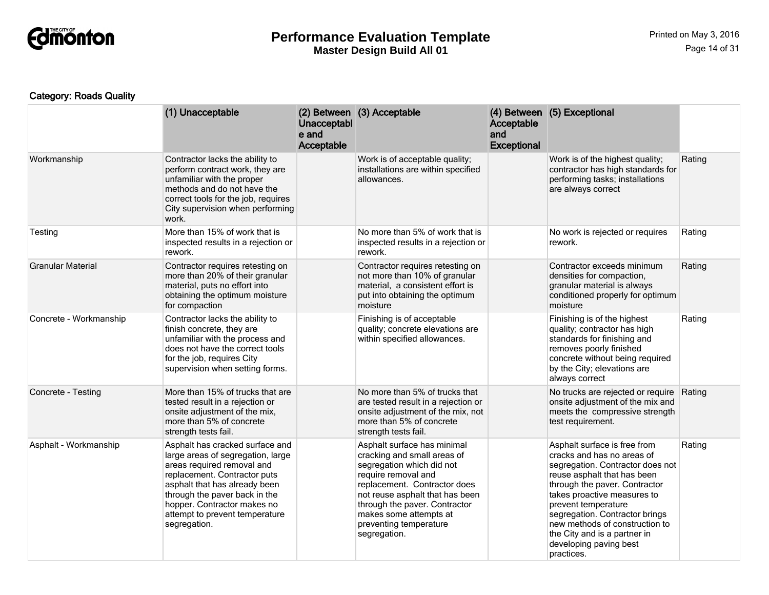

## Category: Roads Quality

|                          | (1) Unacceptable                                                                                                                                                                                                                                                                      | Unacceptabl<br>e and<br>Acceptable | (2) Between (3) Acceptable                                                                                                                                                                                                                                                             | Acceptable<br>and<br><b>Exceptional</b> | (4) Between (5) Exceptional                                                                                                                                                                                                                                                                                                                                      |        |
|--------------------------|---------------------------------------------------------------------------------------------------------------------------------------------------------------------------------------------------------------------------------------------------------------------------------------|------------------------------------|----------------------------------------------------------------------------------------------------------------------------------------------------------------------------------------------------------------------------------------------------------------------------------------|-----------------------------------------|------------------------------------------------------------------------------------------------------------------------------------------------------------------------------------------------------------------------------------------------------------------------------------------------------------------------------------------------------------------|--------|
| Workmanship              | Contractor lacks the ability to<br>perform contract work, they are<br>unfamiliar with the proper<br>methods and do not have the<br>correct tools for the job, requires<br>City supervision when performing<br>work.                                                                   |                                    | Work is of acceptable quality;<br>installations are within specified<br>allowances.                                                                                                                                                                                                    |                                         | Work is of the highest quality;<br>contractor has high standards for<br>performing tasks; installations<br>are always correct                                                                                                                                                                                                                                    | Rating |
| Testing                  | More than 15% of work that is<br>inspected results in a rejection or<br>rework.                                                                                                                                                                                                       |                                    | No more than 5% of work that is<br>inspected results in a rejection or<br>rework.                                                                                                                                                                                                      |                                         | No work is rejected or requires<br>rework.                                                                                                                                                                                                                                                                                                                       | Rating |
| <b>Granular Material</b> | Contractor requires retesting on<br>more than 20% of their granular<br>material, puts no effort into<br>obtaining the optimum moisture<br>for compaction                                                                                                                              |                                    | Contractor requires retesting on<br>not more than 10% of granular<br>material, a consistent effort is<br>put into obtaining the optimum<br>moisture                                                                                                                                    |                                         | Contractor exceeds minimum<br>densities for compaction,<br>granular material is always<br>conditioned properly for optimum<br>moisture                                                                                                                                                                                                                           | Rating |
| Concrete - Workmanship   | Contractor lacks the ability to<br>finish concrete, they are<br>unfamiliar with the process and<br>does not have the correct tools<br>for the job, requires City<br>supervision when setting forms.                                                                                   |                                    | Finishing is of acceptable<br>quality; concrete elevations are<br>within specified allowances.                                                                                                                                                                                         |                                         | Finishing is of the highest<br>quality; contractor has high<br>standards for finishing and<br>removes poorly finished<br>concrete without being required<br>by the City; elevations are<br>always correct                                                                                                                                                        | Rating |
| Concrete - Testing       | More than 15% of trucks that are<br>tested result in a rejection or<br>onsite adjustment of the mix,<br>more than 5% of concrete<br>strength tests fail.                                                                                                                              |                                    | No more than 5% of trucks that<br>are tested result in a rejection or<br>onsite adjustment of the mix, not<br>more than 5% of concrete<br>strength tests fail.                                                                                                                         |                                         | No trucks are rejected or require<br>onsite adjustment of the mix and<br>meets the compressive strength<br>test requirement.                                                                                                                                                                                                                                     | Rating |
| Asphalt - Workmanship    | Asphalt has cracked surface and<br>large areas of segregation, large<br>areas required removal and<br>replacement. Contractor puts<br>asphalt that has already been<br>through the paver back in the<br>hopper. Contractor makes no<br>attempt to prevent temperature<br>segregation. |                                    | Asphalt surface has minimal<br>cracking and small areas of<br>segregation which did not<br>require removal and<br>replacement. Contractor does<br>not reuse asphalt that has been<br>through the paver. Contractor<br>makes some attempts at<br>preventing temperature<br>segregation. |                                         | Asphalt surface is free from<br>cracks and has no areas of<br>segregation. Contractor does not<br>reuse asphalt that has been<br>through the paver. Contractor<br>takes proactive measures to<br>prevent temperature<br>segregation. Contractor brings<br>new methods of construction to<br>the City and is a partner in<br>developing paving best<br>practices. | Rating |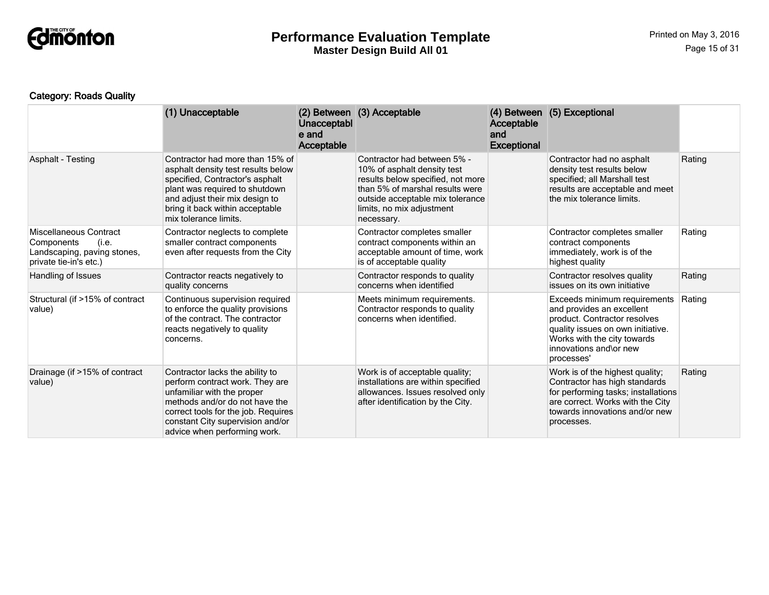

## Category: Roads Quality

|                                                                                                        | (1) Unacceptable                                                                                                                                                                                                                              | Unacceptabl<br>e and<br>Acceptable | (2) Between (3) Acceptable                                                                                                                                                                                        | Acceptable<br>and<br><b>Exceptional</b> | (4) Between (5) Exceptional                                                                                                                                                                           |        |
|--------------------------------------------------------------------------------------------------------|-----------------------------------------------------------------------------------------------------------------------------------------------------------------------------------------------------------------------------------------------|------------------------------------|-------------------------------------------------------------------------------------------------------------------------------------------------------------------------------------------------------------------|-----------------------------------------|-------------------------------------------------------------------------------------------------------------------------------------------------------------------------------------------------------|--------|
| <b>Asphalt - Testing</b>                                                                               | Contractor had more than 15% of<br>asphalt density test results below<br>specified, Contractor's asphalt<br>plant was required to shutdown<br>and adjust their mix design to<br>bring it back within acceptable<br>mix tolerance limits.      |                                    | Contractor had between 5% -<br>10% of asphalt density test<br>results below specified, not more<br>than 5% of marshal results were<br>outside acceptable mix tolerance<br>limits, no mix adjustment<br>necessary. |                                         | Contractor had no asphalt<br>density test results below<br>specified; all Marshall test<br>results are acceptable and meet<br>the mix tolerance limits.                                               | Rating |
| Miscellaneous Contract<br>Components<br>(i.e.<br>Landscaping, paving stones,<br>private tie-in's etc.) | Contractor neglects to complete<br>smaller contract components<br>even after requests from the City                                                                                                                                           |                                    | Contractor completes smaller<br>contract components within an<br>acceptable amount of time, work<br>is of acceptable quality                                                                                      |                                         | Contractor completes smaller<br>contract components<br>immediately, work is of the<br>highest quality                                                                                                 | Rating |
| Handling of Issues                                                                                     | Contractor reacts negatively to<br>quality concerns                                                                                                                                                                                           |                                    | Contractor responds to quality<br>concerns when identified                                                                                                                                                        |                                         | Contractor resolves quality<br>issues on its own initiative                                                                                                                                           | Rating |
| Structural (if >15% of contract<br>value)                                                              | Continuous supervision required<br>to enforce the quality provisions<br>of the contract. The contractor<br>reacts negatively to quality<br>concerns.                                                                                          |                                    | Meets minimum requirements.<br>Contractor responds to quality<br>concerns when identified.                                                                                                                        |                                         | Exceeds minimum requirements<br>and provides an excellent<br>product. Contractor resolves<br>quality issues on own initiative.<br>Works with the city towards<br>innovations and\or new<br>processes' | Rating |
| Drainage (if >15% of contract<br>value)                                                                | Contractor lacks the ability to<br>perform contract work. They are<br>unfamiliar with the proper<br>methods and/or do not have the<br>correct tools for the job. Requires<br>constant City supervision and/or<br>advice when performing work. |                                    | Work is of acceptable quality;<br>installations are within specified<br>allowances. Issues resolved only<br>after identification by the City.                                                                     |                                         | Work is of the highest quality;<br>Contractor has high standards<br>for performing tasks; installations<br>are correct. Works with the City<br>towards innovations and/or new<br>processes.           | Rating |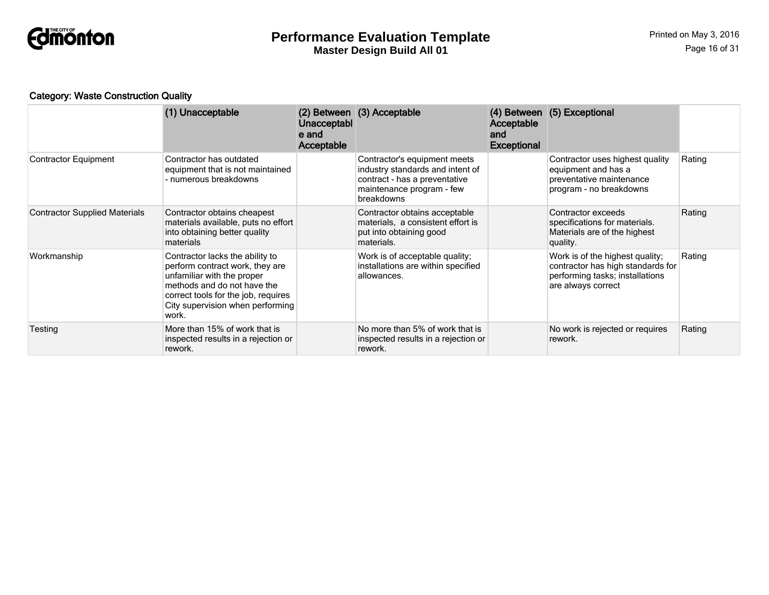

## Category: Waste Construction Quality

|                                      | (1) Unacceptable                                                                                                                                                                                                    | Unacceptabl<br>e and<br>Acceptable | (2) Between (3) Acceptable                                                                                                                   | Acceptable<br>and<br><b>Exceptional</b> | (4) Between (5) Exceptional                                                                                                   |        |
|--------------------------------------|---------------------------------------------------------------------------------------------------------------------------------------------------------------------------------------------------------------------|------------------------------------|----------------------------------------------------------------------------------------------------------------------------------------------|-----------------------------------------|-------------------------------------------------------------------------------------------------------------------------------|--------|
| <b>Contractor Equipment</b>          | Contractor has outdated<br>equipment that is not maintained<br>- numerous breakdowns                                                                                                                                |                                    | Contractor's equipment meets<br>industry standards and intent of<br>contract - has a preventative<br>maintenance program - few<br>breakdowns |                                         | Contractor uses highest quality<br>equipment and has a<br>preventative maintenance<br>program - no breakdowns                 | Rating |
| <b>Contractor Supplied Materials</b> | Contractor obtains cheapest<br>materials available, puts no effort<br>into obtaining better quality<br>materials                                                                                                    |                                    | Contractor obtains acceptable<br>materials, a consistent effort is<br>put into obtaining good<br>materials.                                  |                                         | Contractor exceeds<br>specifications for materials.<br>Materials are of the highest<br>quality.                               | Rating |
| Workmanship                          | Contractor lacks the ability to<br>perform contract work, they are<br>unfamiliar with the proper<br>methods and do not have the<br>correct tools for the job, requires<br>City supervision when performing<br>work. |                                    | Work is of acceptable quality;<br>installations are within specified<br>allowances.                                                          |                                         | Work is of the highest quality;<br>contractor has high standards for<br>performing tasks; installations<br>are always correct | Rating |
| Testing                              | More than 15% of work that is<br>inspected results in a rejection or<br>rework.                                                                                                                                     |                                    | No more than 5% of work that is<br>inspected results in a rejection or<br>rework.                                                            |                                         | No work is rejected or requires<br>rework.                                                                                    | Rating |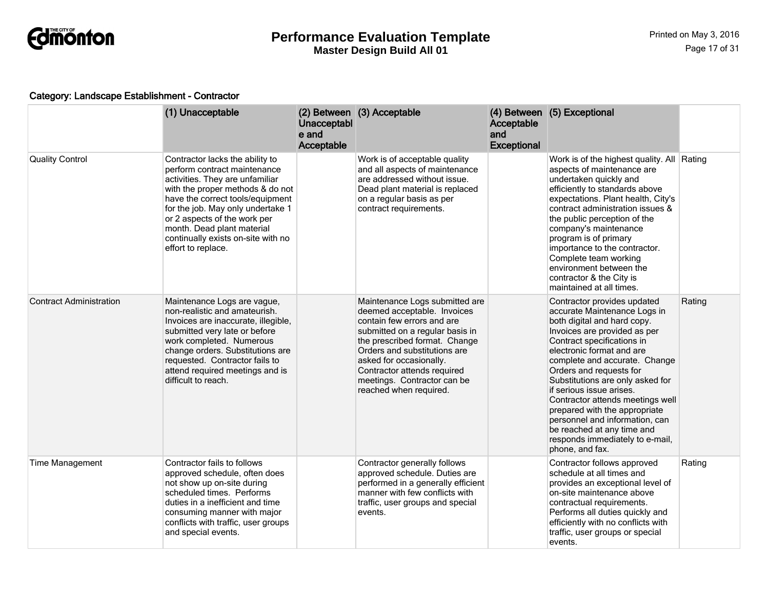

#### Category: Landscape Establishment - Contractor

|                                | (1) Unacceptable                                                                                                                                                                                                                                                                                                                          | Unacceptabl<br>e and<br>Acceptable | (2) Between (3) Acceptable                                                                                                                                                                                                                                                                                         | Acceptable<br>and<br><b>Exceptional</b> | (4) Between (5) Exceptional                                                                                                                                                                                                                                                                                                                                                                                                                                                                                  |        |
|--------------------------------|-------------------------------------------------------------------------------------------------------------------------------------------------------------------------------------------------------------------------------------------------------------------------------------------------------------------------------------------|------------------------------------|--------------------------------------------------------------------------------------------------------------------------------------------------------------------------------------------------------------------------------------------------------------------------------------------------------------------|-----------------------------------------|--------------------------------------------------------------------------------------------------------------------------------------------------------------------------------------------------------------------------------------------------------------------------------------------------------------------------------------------------------------------------------------------------------------------------------------------------------------------------------------------------------------|--------|
| <b>Quality Control</b>         | Contractor lacks the ability to<br>perform contract maintenance<br>activities. They are unfamiliar<br>with the proper methods & do not<br>have the correct tools/equipment<br>for the job. May only undertake 1<br>or 2 aspects of the work per<br>month. Dead plant material<br>continually exists on-site with no<br>effort to replace. |                                    | Work is of acceptable quality<br>and all aspects of maintenance<br>are addressed without issue.<br>Dead plant material is replaced<br>on a regular basis as per<br>contract requirements.                                                                                                                          |                                         | Work is of the highest quality. All Rating<br>aspects of maintenance are<br>undertaken quickly and<br>efficiently to standards above<br>expectations. Plant health, City's<br>contract administration issues &<br>the public perception of the<br>company's maintenance<br>program is of primary<br>importance to the contractor.<br>Complete team working<br>environment between the<br>contractor & the City is<br>maintained at all times.                                                                |        |
| <b>Contract Administration</b> | Maintenance Logs are vague,<br>non-realistic and amateurish.<br>Invoices are inaccurate, illegible,<br>submitted very late or before<br>work completed. Numerous<br>change orders. Substitutions are<br>requested. Contractor fails to<br>attend required meetings and is<br>difficult to reach.                                          |                                    | Maintenance Logs submitted are<br>deemed acceptable. Invoices<br>contain few errors and are<br>submitted on a regular basis in<br>the prescribed format. Change<br>Orders and substitutions are<br>asked for occasionally.<br>Contractor attends required<br>meetings. Contractor can be<br>reached when required. |                                         | Contractor provides updated<br>accurate Maintenance Logs in<br>both digital and hard copy.<br>Invoices are provided as per<br>Contract specifications in<br>electronic format and are<br>complete and accurate. Change<br>Orders and requests for<br>Substitutions are only asked for<br>if serious issue arises.<br>Contractor attends meetings well<br>prepared with the appropriate<br>personnel and information, can<br>be reached at any time and<br>responds immediately to e-mail,<br>phone, and fax. | Rating |
| <b>Time Management</b>         | Contractor fails to follows<br>approved schedule, often does<br>not show up on-site during<br>scheduled times. Performs<br>duties in a inefficient and time<br>consuming manner with major<br>conflicts with traffic, user groups<br>and special events.                                                                                  |                                    | Contractor generally follows<br>approved schedule. Duties are<br>performed in a generally efficient<br>manner with few conflicts with<br>traffic, user groups and special<br>events.                                                                                                                               |                                         | Contractor follows approved<br>schedule at all times and<br>provides an exceptional level of<br>on-site maintenance above<br>contractual requirements.<br>Performs all duties quickly and<br>efficiently with no conflicts with<br>traffic, user groups or special<br>events.                                                                                                                                                                                                                                | Rating |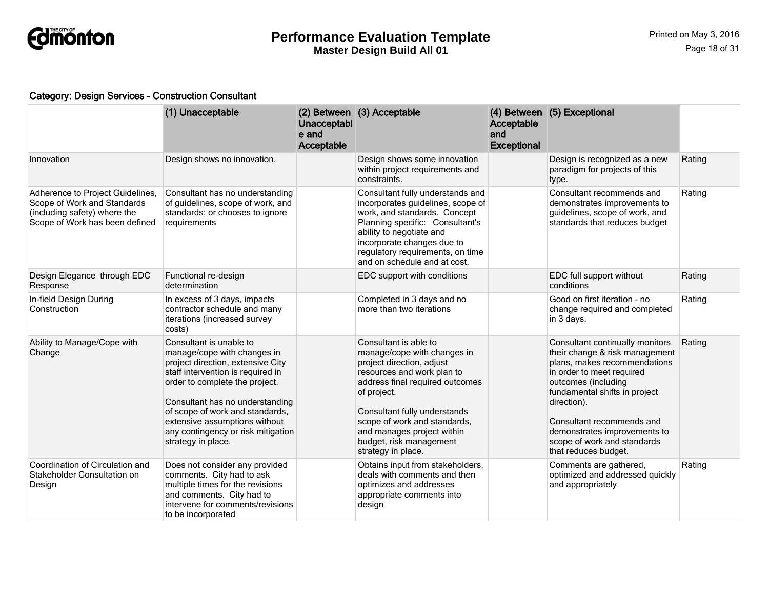

#### Category: Design Services - Construction Consultant

|                                                                                                                                   | (1) Unacceptable                                                                                                                                                                                                                                                                                                                      | Unacceptabl<br>e and<br>Acceptable | (2) Between (3) Acceptable                                                                                                                                                                                                                                                                                       | Acceptable<br>and<br><b>Exceptional</b> | (4) Between (5) Exceptional                                                                                                                                                                                                                                                                                               |        |
|-----------------------------------------------------------------------------------------------------------------------------------|---------------------------------------------------------------------------------------------------------------------------------------------------------------------------------------------------------------------------------------------------------------------------------------------------------------------------------------|------------------------------------|------------------------------------------------------------------------------------------------------------------------------------------------------------------------------------------------------------------------------------------------------------------------------------------------------------------|-----------------------------------------|---------------------------------------------------------------------------------------------------------------------------------------------------------------------------------------------------------------------------------------------------------------------------------------------------------------------------|--------|
| Innovation                                                                                                                        | Design shows no innovation.                                                                                                                                                                                                                                                                                                           |                                    | Design shows some innovation<br>within project requirements and<br>constraints.                                                                                                                                                                                                                                  |                                         | Design is recognized as a new<br>paradigm for projects of this<br>type.                                                                                                                                                                                                                                                   | Rating |
| Adherence to Project Guidelines,<br>Scope of Work and Standards<br>(including safety) where the<br>Scope of Work has been defined | Consultant has no understanding<br>of guidelines, scope of work, and<br>standards; or chooses to ignore<br>requirements                                                                                                                                                                                                               |                                    | Consultant fully understands and<br>incorporates guidelines, scope of<br>work, and standards. Concept<br>Planning specific: Consultant's<br>ability to negotiate and<br>incorporate changes due to<br>regulatory requirements, on time<br>and on schedule and at cost.                                           |                                         | Consultant recommends and<br>demonstrates improvements to<br>guidelines, scope of work, and<br>standards that reduces budget                                                                                                                                                                                              | Rating |
| Design Elegance through EDC<br>Response                                                                                           | Functional re-design<br>determination                                                                                                                                                                                                                                                                                                 |                                    | EDC support with conditions                                                                                                                                                                                                                                                                                      |                                         | EDC full support without<br>conditions                                                                                                                                                                                                                                                                                    | Rating |
| In-field Design During<br>Construction                                                                                            | In excess of 3 days, impacts<br>contractor schedule and many<br>iterations (increased survey<br>costs)                                                                                                                                                                                                                                |                                    | Completed in 3 days and no<br>more than two iterations                                                                                                                                                                                                                                                           |                                         | Good on first iteration - no<br>change required and completed<br>in 3 days.                                                                                                                                                                                                                                               | Rating |
| Ability to Manage/Cope with<br>Change                                                                                             | Consultant is unable to<br>manage/cope with changes in<br>project direction, extensive City<br>staff intervention is required in<br>order to complete the project.<br>Consultant has no understanding<br>of scope of work and standards,<br>extensive assumptions without<br>any contingency or risk mitigation<br>strategy in place. |                                    | Consultant is able to<br>manage/cope with changes in<br>project direction, adjust<br>resources and work plan to<br>address final required outcomes<br>of project.<br>Consultant fully understands<br>scope of work and standards,<br>and manages project within<br>budget, risk management<br>strategy in place. |                                         | Consultant continually monitors<br>their change & risk management<br>plans, makes recommendations<br>in order to meet required<br>outcomes (including<br>fundamental shifts in project<br>direction).<br>Consultant recommends and<br>demonstrates improvements to<br>scope of work and standards<br>that reduces budget. | Rating |
| Coordination of Circulation and<br>Stakeholder Consultation on<br>Design                                                          | Does not consider any provided<br>comments. City had to ask<br>multiple times for the revisions<br>and comments. City had to<br>intervene for comments/revisions<br>to be incorporated                                                                                                                                                |                                    | Obtains input from stakeholders,<br>deals with comments and then<br>optimizes and addresses<br>appropriate comments into<br>design                                                                                                                                                                               |                                         | Comments are gathered,<br>optimized and addressed quickly<br>and appropriately                                                                                                                                                                                                                                            | Rating |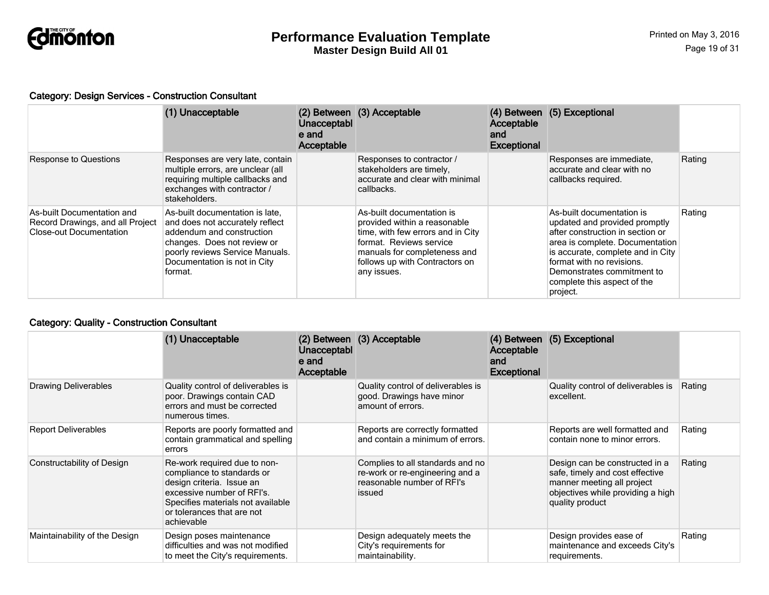

#### Category: Design Services - Construction Consultant

|                                                                                                  | (1) Unacceptable                                                                                                                                                                                             | Unacceptabl<br>e and<br>Acceptable | (2) Between (3) Acceptable                                                                                                                                                                                 | Acceptable<br>and<br><b>Exceptional</b> | (4) Between (5) Exceptional                                                                                                                                                                                                                                                  |        |
|--------------------------------------------------------------------------------------------------|--------------------------------------------------------------------------------------------------------------------------------------------------------------------------------------------------------------|------------------------------------|------------------------------------------------------------------------------------------------------------------------------------------------------------------------------------------------------------|-----------------------------------------|------------------------------------------------------------------------------------------------------------------------------------------------------------------------------------------------------------------------------------------------------------------------------|--------|
| <b>Response to Questions</b>                                                                     | Responses are very late, contain<br>multiple errors, are unclear (all<br>requiring multiple callbacks and<br>exchanges with contractor /<br>stakeholders.                                                    |                                    | Responses to contractor /<br>stakeholders are timely,<br>accurate and clear with minimal<br>callbacks.                                                                                                     |                                         | Responses are immediate,<br>accurate and clear with no<br>callbacks required.                                                                                                                                                                                                | Rating |
| As-built Documentation and<br>Record Drawings, and all Project<br><b>Close-out Documentation</b> | As-built documentation is late.<br>and does not accurately reflect<br>addendum and construction<br>changes. Does not review or<br>poorly reviews Service Manuals.<br>Documentation is not in City<br>format. |                                    | As-built documentation is<br>provided within a reasonable<br>time, with few errors and in City<br>format. Reviews service<br>manuals for completeness and<br>follows up with Contractors on<br>any issues. |                                         | As-built documentation is<br>updated and provided promptly<br>after construction in section or<br>area is complete. Documentation<br>is accurate, complete and in City<br>format with no revisions.<br>Demonstrates commitment to<br>complete this aspect of the<br>project. | Rating |

## Category: Quality - Construction Consultant

|                               | (1) Unacceptable                                                                                                                                                                                       | Unacceptabl<br>e and<br>Acceptable | (2) Between (3) Acceptable                                                                                  | <b>Acceptable</b><br>and<br><b>Exceptional</b> | (4) Between (5) Exceptional                                                                                                                             |        |
|-------------------------------|--------------------------------------------------------------------------------------------------------------------------------------------------------------------------------------------------------|------------------------------------|-------------------------------------------------------------------------------------------------------------|------------------------------------------------|---------------------------------------------------------------------------------------------------------------------------------------------------------|--------|
| <b>Drawing Deliverables</b>   | Quality control of deliverables is<br>poor. Drawings contain CAD<br>errors and must be corrected<br>numerous times.                                                                                    |                                    | Quality control of deliverables is<br>good. Drawings have minor<br>amount of errors.                        |                                                | Quality control of deliverables is<br>excellent.                                                                                                        | Rating |
| <b>Report Deliverables</b>    | Reports are poorly formatted and<br>contain grammatical and spelling<br>errors                                                                                                                         |                                    | Reports are correctly formatted<br>and contain a minimum of errors.                                         |                                                | Reports are well formatted and<br>contain none to minor errors.                                                                                         | Rating |
| Constructability of Design    | Re-work required due to non-<br>compliance to standards or<br>design criteria. Issue an<br>excessive number of RFI's.<br>Specifies materials not available<br>or tolerances that are not<br>achievable |                                    | Complies to all standards and no<br>re-work or re-engineering and a<br>reasonable number of RFI's<br>issued |                                                | Design can be constructed in a<br>safe, timely and cost effective<br>manner meeting all project<br>objectives while providing a high<br>quality product | Rating |
| Maintainability of the Design | Design poses maintenance<br>difficulties and was not modified<br>to meet the City's requirements.                                                                                                      |                                    | Design adequately meets the<br>City's requirements for<br>maintainability.                                  |                                                | Design provides ease of<br>maintenance and exceeds City's<br>requirements.                                                                              | Rating |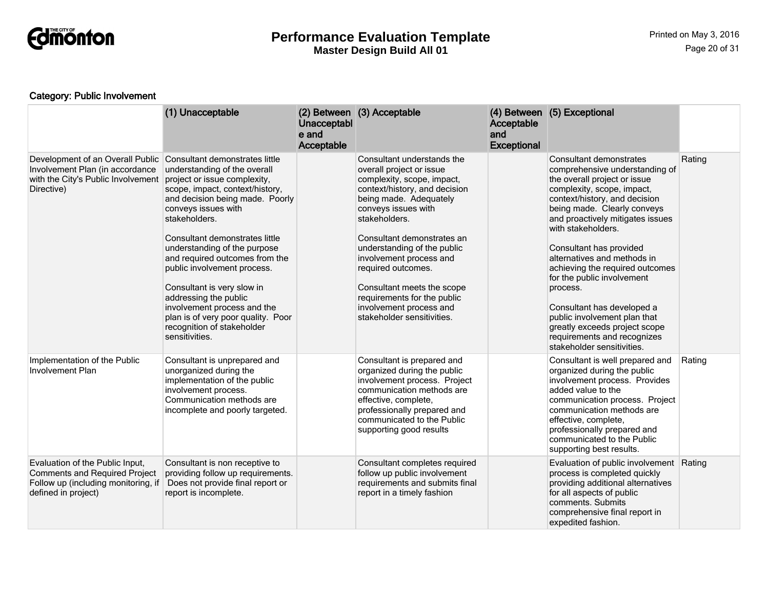

## Category: Public Involvement

|                                                                                                                                       | (1) Unacceptable                                                                                                                                                                                                                                                                                                                                                                                                                                                                                                            | Unacceptabl<br>e and<br>Acceptable | (2) Between (3) Acceptable                                                                                                                                                                                                                                                                                                                                                                                                  | Acceptable<br>and<br><b>Exceptional</b> | (4) Between (5) Exceptional                                                                                                                                                                                                                                                                                                                                                                                                                                                                                                                          |        |
|---------------------------------------------------------------------------------------------------------------------------------------|-----------------------------------------------------------------------------------------------------------------------------------------------------------------------------------------------------------------------------------------------------------------------------------------------------------------------------------------------------------------------------------------------------------------------------------------------------------------------------------------------------------------------------|------------------------------------|-----------------------------------------------------------------------------------------------------------------------------------------------------------------------------------------------------------------------------------------------------------------------------------------------------------------------------------------------------------------------------------------------------------------------------|-----------------------------------------|------------------------------------------------------------------------------------------------------------------------------------------------------------------------------------------------------------------------------------------------------------------------------------------------------------------------------------------------------------------------------------------------------------------------------------------------------------------------------------------------------------------------------------------------------|--------|
| Development of an Overall Public<br>Involvement Plan (in accordance<br>with the City's Public Involvement<br>Directive)               | Consultant demonstrates little<br>understanding of the overall<br>project or issue complexity,<br>scope, impact, context/history,<br>and decision being made. Poorly<br>conveys issues with<br>stakeholders.<br>Consultant demonstrates little<br>understanding of the purpose<br>and required outcomes from the<br>public involvement process.<br>Consultant is very slow in<br>addressing the public<br>involvement process and the<br>plan is of very poor quality. Poor<br>recognition of stakeholder<br>sensitivities. |                                    | Consultant understands the<br>overall project or issue<br>complexity, scope, impact,<br>context/history, and decision<br>being made. Adequately<br>conveys issues with<br>stakeholders.<br>Consultant demonstrates an<br>understanding of the public<br>involvement process and<br>required outcomes.<br>Consultant meets the scope<br>requirements for the public<br>involvement process and<br>stakeholder sensitivities. |                                         | Consultant demonstrates<br>comprehensive understanding of<br>the overall project or issue<br>complexity, scope, impact,<br>context/history, and decision<br>being made. Clearly conveys<br>and proactively mitigates issues<br>with stakeholders.<br>Consultant has provided<br>alternatives and methods in<br>achieving the required outcomes<br>for the public involvement<br>process.<br>Consultant has developed a<br>public involvement plan that<br>greatly exceeds project scope<br>requirements and recognizes<br>stakeholder sensitivities. | Rating |
| Implementation of the Public<br><b>Involvement Plan</b>                                                                               | Consultant is unprepared and<br>unorganized during the<br>implementation of the public<br>involvement process.<br>Communication methods are<br>incomplete and poorly targeted.                                                                                                                                                                                                                                                                                                                                              |                                    | Consultant is prepared and<br>organized during the public<br>involvement process. Project<br>communication methods are<br>effective, complete,<br>professionally prepared and<br>communicated to the Public<br>supporting good results                                                                                                                                                                                      |                                         | Consultant is well prepared and<br>organized during the public<br>involvement process. Provides<br>added value to the<br>communication process. Project<br>communication methods are<br>effective, complete,<br>professionally prepared and<br>communicated to the Public<br>supporting best results.                                                                                                                                                                                                                                                | Rating |
| Evaluation of the Public Input,<br><b>Comments and Required Project</b><br>Follow up (including monitoring, if<br>defined in project) | Consultant is non receptive to<br>providing follow up requirements.<br>Does not provide final report or<br>report is incomplete.                                                                                                                                                                                                                                                                                                                                                                                            |                                    | Consultant completes required<br>follow up public involvement<br>requirements and submits final<br>report in a timely fashion                                                                                                                                                                                                                                                                                               |                                         | Evaluation of public involvement<br>process is completed quickly<br>providing additional alternatives<br>for all aspects of public<br>comments. Submits<br>comprehensive final report in<br>expedited fashion.                                                                                                                                                                                                                                                                                                                                       | Rating |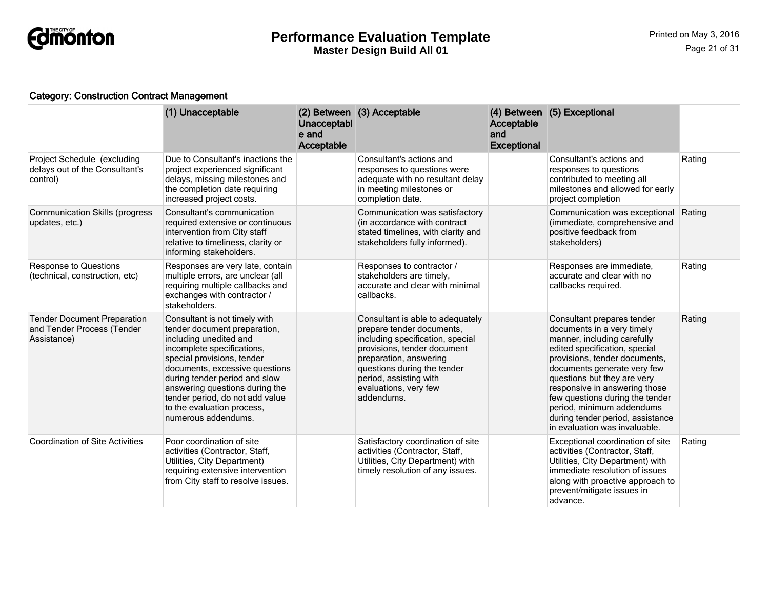

## Category: Construction Contract Management

|                                                                                 | (1) Unacceptable                                                                                                                                                                                                                                                                                                                                 | <b>Unacceptabl</b><br>e and<br>Acceptable | (2) Between (3) Acceptable                                                                                                                                                                                                                                 | Acceptable<br>and<br><b>Exceptional</b> | (4) Between (5) Exceptional                                                                                                                                                                                                                                                                                                                                                                   |        |
|---------------------------------------------------------------------------------|--------------------------------------------------------------------------------------------------------------------------------------------------------------------------------------------------------------------------------------------------------------------------------------------------------------------------------------------------|-------------------------------------------|------------------------------------------------------------------------------------------------------------------------------------------------------------------------------------------------------------------------------------------------------------|-----------------------------------------|-----------------------------------------------------------------------------------------------------------------------------------------------------------------------------------------------------------------------------------------------------------------------------------------------------------------------------------------------------------------------------------------------|--------|
| Project Schedule (excluding<br>delays out of the Consultant's<br>control)       | Due to Consultant's inactions the<br>project experienced significant<br>delays, missing milestones and<br>the completion date requiring<br>increased project costs.                                                                                                                                                                              |                                           | Consultant's actions and<br>responses to questions were<br>adequate with no resultant delay<br>in meeting milestones or<br>completion date.                                                                                                                |                                         | Consultant's actions and<br>responses to questions<br>contributed to meeting all<br>milestones and allowed for early<br>project completion                                                                                                                                                                                                                                                    | Rating |
| <b>Communication Skills (progress</b><br>updates, etc.)                         | Consultant's communication<br>required extensive or continuous<br>intervention from City staff<br>relative to timeliness, clarity or<br>informing stakeholders.                                                                                                                                                                                  |                                           | Communication was satisfactory<br>(in accordance with contract<br>stated timelines, with clarity and<br>stakeholders fully informed).                                                                                                                      |                                         | Communication was exceptional<br>(immediate, comprehensive and<br>positive feedback from<br>stakeholders)                                                                                                                                                                                                                                                                                     | Rating |
| <b>Response to Questions</b><br>(technical, construction, etc)                  | Responses are very late, contain<br>multiple errors, are unclear (all<br>requiring multiple callbacks and<br>exchanges with contractor /<br>stakeholders.                                                                                                                                                                                        |                                           | Responses to contractor /<br>stakeholders are timely,<br>accurate and clear with minimal<br>callbacks.                                                                                                                                                     |                                         | Responses are immediate,<br>accurate and clear with no<br>callbacks required.                                                                                                                                                                                                                                                                                                                 | Rating |
| <b>Tender Document Preparation</b><br>and Tender Process (Tender<br>Assistance) | Consultant is not timely with<br>tender document preparation,<br>including unedited and<br>incomplete specifications,<br>special provisions, tender<br>documents, excessive questions<br>during tender period and slow<br>answering questions during the<br>tender period, do not add value<br>to the evaluation process,<br>numerous addendums. |                                           | Consultant is able to adequately<br>prepare tender documents,<br>including specification, special<br>provisions, tender document<br>preparation, answering<br>questions during the tender<br>period, assisting with<br>evaluations, very few<br>addendums. |                                         | Consultant prepares tender<br>documents in a very timely<br>manner, including carefully<br>edited specification, special<br>provisions, tender documents,<br>documents generate very few<br>questions but they are very<br>responsive in answering those<br>few questions during the tender<br>period, minimum addendums<br>during tender period, assistance<br>in evaluation was invaluable. | Rating |
| <b>Coordination of Site Activities</b>                                          | Poor coordination of site<br>activities (Contractor, Staff,<br>Utilities, City Department)<br>requiring extensive intervention<br>from City staff to resolve issues.                                                                                                                                                                             |                                           | Satisfactory coordination of site<br>activities (Contractor, Staff,<br>Utilities, City Department) with<br>timely resolution of any issues.                                                                                                                |                                         | Exceptional coordination of site<br>activities (Contractor, Staff,<br>Utilities, City Department) with<br>immediate resolution of issues<br>along with proactive approach to<br>prevent/mitigate issues in<br>advance.                                                                                                                                                                        | Rating |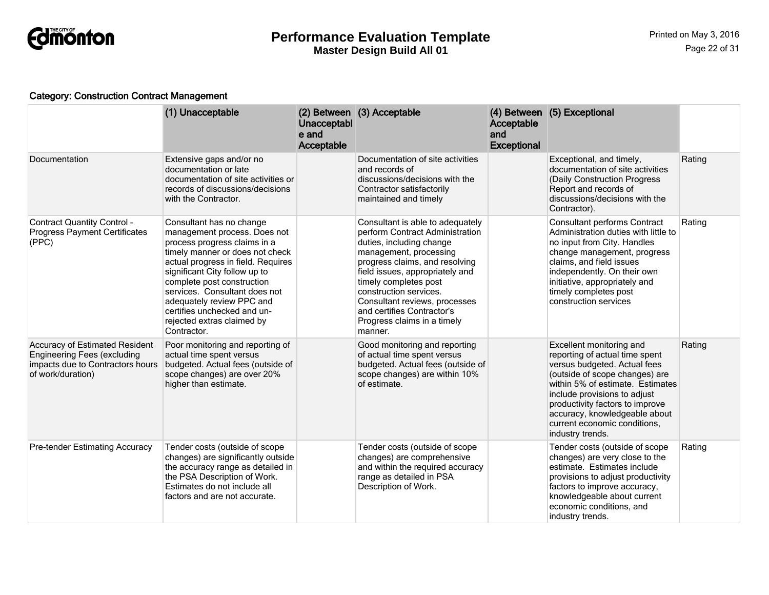

## Category: Construction Contract Management

|                                                                                                                               | (1) Unacceptable                                                                                                                                                                                                                                                                                                                                                           | Unacceptabl<br>e and<br>Acceptable | (2) Between (3) Acceptable                                                                                                                                                                                                                                                                                                                                 | Acceptable<br>and<br><b>Exceptional</b> | (4) Between (5) Exceptional                                                                                                                                                                                                                                                                                              |        |
|-------------------------------------------------------------------------------------------------------------------------------|----------------------------------------------------------------------------------------------------------------------------------------------------------------------------------------------------------------------------------------------------------------------------------------------------------------------------------------------------------------------------|------------------------------------|------------------------------------------------------------------------------------------------------------------------------------------------------------------------------------------------------------------------------------------------------------------------------------------------------------------------------------------------------------|-----------------------------------------|--------------------------------------------------------------------------------------------------------------------------------------------------------------------------------------------------------------------------------------------------------------------------------------------------------------------------|--------|
| Documentation                                                                                                                 | Extensive gaps and/or no<br>documentation or late<br>documentation of site activities or<br>records of discussions/decisions<br>with the Contractor.                                                                                                                                                                                                                       |                                    | Documentation of site activities<br>and records of<br>discussions/decisions with the<br>Contractor satisfactorily<br>maintained and timely                                                                                                                                                                                                                 |                                         | Exceptional, and timely,<br>documentation of site activities<br>(Daily Construction Progress<br>Report and records of<br>discussions/decisions with the<br>Contractor).                                                                                                                                                  | Rating |
| <b>Contract Quantity Control -</b><br><b>Progress Payment Certificates</b><br>(PPC)                                           | Consultant has no change<br>management process. Does not<br>process progress claims in a<br>timely manner or does not check<br>actual progress in field. Requires<br>significant City follow up to<br>complete post construction<br>services. Consultant does not<br>adequately review PPC and<br>certifies unchecked and un-<br>rejected extras claimed by<br>Contractor. |                                    | Consultant is able to adequately<br>perform Contract Administration<br>duties, including change<br>management, processing<br>progress claims, and resolving<br>field issues, appropriately and<br>timely completes post<br>construction services.<br>Consultant reviews, processes<br>and certifies Contractor's<br>Progress claims in a timely<br>manner. |                                         | <b>Consultant performs Contract</b><br>Administration duties with little to<br>no input from City. Handles<br>change management, progress<br>claims, and field issues<br>independently. On their own<br>initiative, appropriately and<br>timely completes post<br>construction services                                  | Rating |
| Accuracy of Estimated Resident<br><b>Engineering Fees (excluding</b><br>impacts due to Contractors hours<br>of work/duration) | Poor monitoring and reporting of<br>actual time spent versus<br>budgeted. Actual fees (outside of<br>scope changes) are over 20%<br>higher than estimate.                                                                                                                                                                                                                  |                                    | Good monitoring and reporting<br>of actual time spent versus<br>budgeted. Actual fees (outside of<br>scope changes) are within 10%<br>of estimate.                                                                                                                                                                                                         |                                         | Excellent monitoring and<br>reporting of actual time spent<br>versus budgeted. Actual fees<br>(outside of scope changes) are<br>within 5% of estimate. Estimates<br>include provisions to adjust<br>productivity factors to improve<br>accuracy, knowledgeable about<br>current economic conditions,<br>industry trends. | Rating |
| <b>Pre-tender Estimating Accuracy</b>                                                                                         | Tender costs (outside of scope<br>changes) are significantly outside<br>the accuracy range as detailed in<br>the PSA Description of Work.<br>Estimates do not include all<br>factors and are not accurate.                                                                                                                                                                 |                                    | Tender costs (outside of scope<br>changes) are comprehensive<br>and within the required accuracy<br>range as detailed in PSA<br>Description of Work.                                                                                                                                                                                                       |                                         | Tender costs (outside of scope<br>changes) are very close to the<br>estimate. Estimates include<br>provisions to adjust productivity<br>factors to improve accuracy,<br>knowledgeable about current<br>economic conditions, and<br>industry trends.                                                                      | Rating |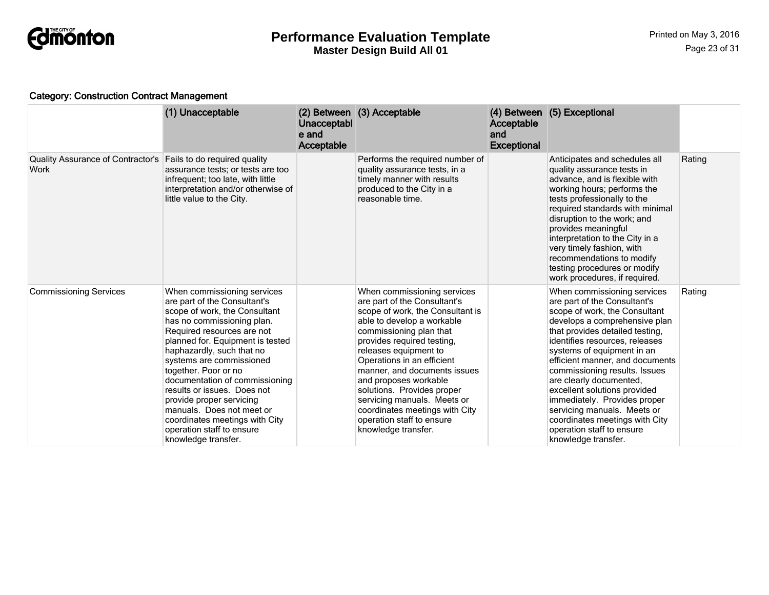

## Category: Construction Contract Management

|                                                                        | (1) Unacceptable                                                                                                                                                                                                                                                                                                                                                                                                                                                                              | Unacceptabl<br>e and<br>Acceptable | (2) Between (3) Acceptable                                                                                                                                                                                                                                                                                                                                                                                                                                | Acceptable<br>and<br><b>Exceptional</b> | (4) Between (5) Exceptional                                                                                                                                                                                                                                                                                                                                                                                                                                                                                          |        |
|------------------------------------------------------------------------|-----------------------------------------------------------------------------------------------------------------------------------------------------------------------------------------------------------------------------------------------------------------------------------------------------------------------------------------------------------------------------------------------------------------------------------------------------------------------------------------------|------------------------------------|-----------------------------------------------------------------------------------------------------------------------------------------------------------------------------------------------------------------------------------------------------------------------------------------------------------------------------------------------------------------------------------------------------------------------------------------------------------|-----------------------------------------|----------------------------------------------------------------------------------------------------------------------------------------------------------------------------------------------------------------------------------------------------------------------------------------------------------------------------------------------------------------------------------------------------------------------------------------------------------------------------------------------------------------------|--------|
| Quality Assurance of Contractor's Fails to do required quality<br>Work | assurance tests; or tests are too<br>infrequent; too late, with little<br>interpretation and/or otherwise of<br>little value to the City.                                                                                                                                                                                                                                                                                                                                                     |                                    | Performs the required number of<br>quality assurance tests, in a<br>timely manner with results<br>produced to the City in a<br>reasonable time.                                                                                                                                                                                                                                                                                                           |                                         | Anticipates and schedules all<br>quality assurance tests in<br>advance, and is flexible with<br>working hours; performs the<br>tests professionally to the<br>required standards with minimal<br>disruption to the work; and<br>provides meaningful<br>interpretation to the City in a<br>very timely fashion, with<br>recommendations to modify<br>testing procedures or modify<br>work procedures, if required.                                                                                                    | Rating |
| <b>Commissioning Services</b>                                          | When commissioning services<br>are part of the Consultant's<br>scope of work, the Consultant<br>has no commissioning plan.<br>Required resources are not<br>planned for. Equipment is tested<br>haphazardly, such that no<br>systems are commissioned<br>together. Poor or no<br>documentation of commissioning<br>results or issues. Does not<br>provide proper servicing<br>manuals. Does not meet or<br>coordinates meetings with City<br>operation staff to ensure<br>knowledge transfer. |                                    | When commissioning services<br>are part of the Consultant's<br>scope of work, the Consultant is<br>able to develop a workable<br>commissioning plan that<br>provides required testing,<br>releases equipment to<br>Operations in an efficient<br>manner, and documents issues<br>and proposes workable<br>solutions. Provides proper<br>servicing manuals. Meets or<br>coordinates meetings with City<br>operation staff to ensure<br>knowledge transfer. |                                         | When commissioning services<br>are part of the Consultant's<br>scope of work, the Consultant<br>develops a comprehensive plan<br>that provides detailed testing,<br>identifies resources, releases<br>systems of equipment in an<br>efficient manner, and documents<br>commissioning results. Issues<br>are clearly documented,<br>excellent solutions provided<br>immediately. Provides proper<br>servicing manuals. Meets or<br>coordinates meetings with City<br>operation staff to ensure<br>knowledge transfer. | Rating |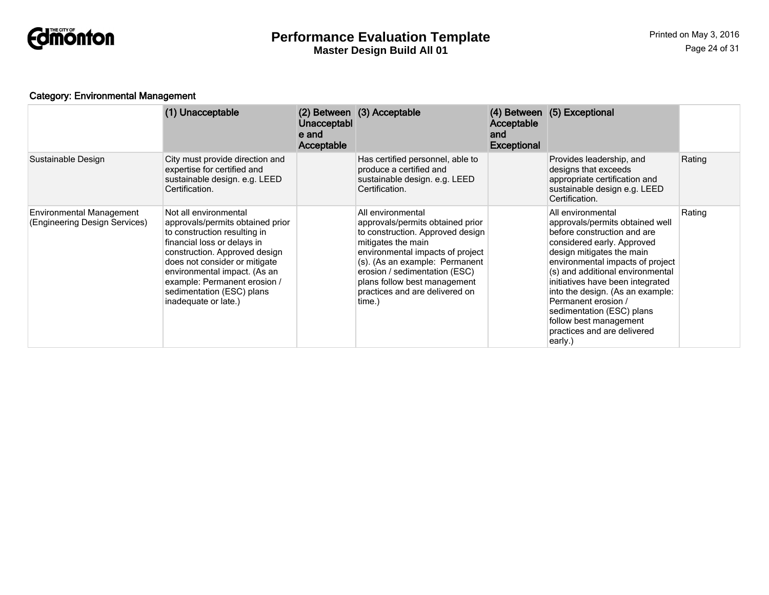

## Category: Environmental Management

|                                                                  | (1) Unacceptable                                                                                                                                                                                                                                                                                                | Unacceptabl<br>e and<br>Acceptable | (2) Between (3) Acceptable                                                                                                                                                                                                                                                                         | <b>Acceptable</b><br>and<br><b>Exceptional</b> | (4) Between (5) Exceptional                                                                                                                                                                                                                                                                                                                                                                                            |        |
|------------------------------------------------------------------|-----------------------------------------------------------------------------------------------------------------------------------------------------------------------------------------------------------------------------------------------------------------------------------------------------------------|------------------------------------|----------------------------------------------------------------------------------------------------------------------------------------------------------------------------------------------------------------------------------------------------------------------------------------------------|------------------------------------------------|------------------------------------------------------------------------------------------------------------------------------------------------------------------------------------------------------------------------------------------------------------------------------------------------------------------------------------------------------------------------------------------------------------------------|--------|
| Sustainable Design                                               | City must provide direction and<br>expertise for certified and<br>sustainable design. e.g. LEED<br>Certification.                                                                                                                                                                                               |                                    | Has certified personnel, able to<br>produce a certified and<br>sustainable design. e.g. LEED<br>Certification.                                                                                                                                                                                     |                                                | Provides leadership, and<br>designs that exceeds<br>appropriate certification and<br>sustainable design e.g. LEED<br>Certification.                                                                                                                                                                                                                                                                                    | Rating |
| <b>Environmental Management</b><br>(Engineering Design Services) | Not all environmental<br>approvals/permits obtained prior<br>to construction resulting in<br>financial loss or delays in<br>construction. Approved design<br>does not consider or mitigate<br>environmental impact. (As an<br>example: Permanent erosion /<br>sedimentation (ESC) plans<br>inadequate or late.) |                                    | All environmental<br>approvals/permits obtained prior<br>to construction. Approved design<br>mitigates the main<br>environmental impacts of project<br>(s). (As an example: Permanent<br>erosion / sedimentation (ESC)<br>plans follow best management<br>practices and are delivered on<br>time.) |                                                | All environmental<br>approvals/permits obtained well<br>before construction and are<br>considered early. Approved<br>design mitigates the main<br>environmental impacts of project<br>(s) and additional environmental<br>initiatives have been integrated<br>into the design. (As an example:<br>Permanent erosion /<br>sedimentation (ESC) plans<br>follow best management<br>practices and are delivered<br>early.) | Rating |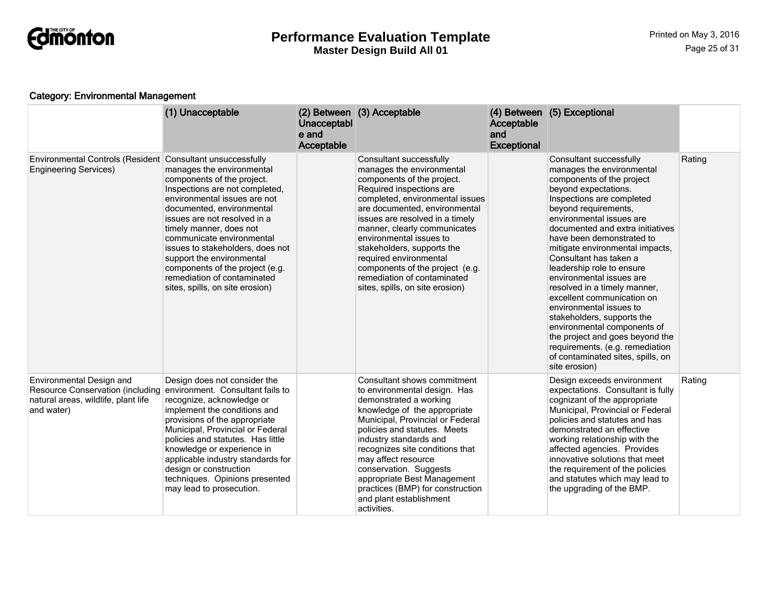

## Category: Environmental Management

|                                                                                                                          | (1) Unacceptable                                                                                                                                                                                                                                                                                                                                                                                                     | Unacceptabl<br>e and<br>Acceptable | (2) Between (3) Acceptable                                                                                                                                                                                                                                                                                                                                                                                                                    | Acceptable<br>and<br><b>Exceptional</b> | (4) Between (5) Exceptional                                                                                                                                                                                                                                                                                                                                                                                                                                                                                                                                                                                                                                         |        |
|--------------------------------------------------------------------------------------------------------------------------|----------------------------------------------------------------------------------------------------------------------------------------------------------------------------------------------------------------------------------------------------------------------------------------------------------------------------------------------------------------------------------------------------------------------|------------------------------------|-----------------------------------------------------------------------------------------------------------------------------------------------------------------------------------------------------------------------------------------------------------------------------------------------------------------------------------------------------------------------------------------------------------------------------------------------|-----------------------------------------|---------------------------------------------------------------------------------------------------------------------------------------------------------------------------------------------------------------------------------------------------------------------------------------------------------------------------------------------------------------------------------------------------------------------------------------------------------------------------------------------------------------------------------------------------------------------------------------------------------------------------------------------------------------------|--------|
| Environmental Controls (Resident Consultant unsuccessfully<br><b>Engineering Services)</b>                               | manages the environmental<br>components of the project.<br>Inspections are not completed,<br>environmental issues are not<br>documented, environmental<br>issues are not resolved in a<br>timely manner, does not<br>communicate environmental<br>issues to stakeholders, does not<br>support the environmental<br>components of the project (e.g.<br>remediation of contaminated<br>sites, spills, on site erosion) |                                    | Consultant successfully<br>manages the environmental<br>components of the project.<br>Required inspections are<br>completed, environmental issues<br>are documented, environmental<br>issues are resolved in a timely<br>manner, clearly communicates<br>environmental issues to<br>stakeholders, supports the<br>required environmental<br>components of the project (e.g.<br>remediation of contaminated<br>sites, spills, on site erosion) |                                         | Consultant successfully<br>manages the environmental<br>components of the project<br>beyond expectations.<br>Inspections are completed<br>beyond requirements,<br>environmental issues are<br>documented and extra initiatives<br>have been demonstrated to<br>mitigate environmental impacts,<br>Consultant has taken a<br>leadership role to ensure<br>environmental issues are<br>resolved in a timely manner,<br>excellent communication on<br>environmental issues to<br>stakeholders, supports the<br>environmental components of<br>the project and goes beyond the<br>requirements. (e.g. remediation<br>of contaminated sites, spills, on<br>site erosion) | Rating |
| Environmental Design and<br><b>Resource Conservation (including</b><br>natural areas, wildlife, plant life<br>and water) | Design does not consider the<br>environment. Consultant fails to<br>recognize, acknowledge or<br>implement the conditions and<br>provisions of the appropriate<br>Municipal, Provincial or Federal<br>policies and statutes. Has little<br>knowledge or experience in<br>applicable industry standards for<br>design or construction<br>techniques. Opinions presented<br>may lead to prosecution.                   |                                    | Consultant shows commitment<br>to environmental design. Has<br>demonstrated a working<br>knowledge of the appropriate<br>Municipal, Provincial or Federal<br>policies and statutes. Meets<br>industry standards and<br>recognizes site conditions that<br>may affect resource<br>conservation. Suggests<br>appropriate Best Management<br>practices (BMP) for construction<br>and plant establishment<br>activities.                          |                                         | Design exceeds environment<br>expectations. Consultant is fully<br>cognizant of the appropriate<br>Municipal, Provincial or Federal<br>policies and statutes and has<br>demonstrated an effective<br>working relationship with the<br>affected agencies. Provides<br>innovative solutions that meet<br>the requirement of the policies<br>and statutes which may lead to<br>the upgrading of the BMP.                                                                                                                                                                                                                                                               | Rating |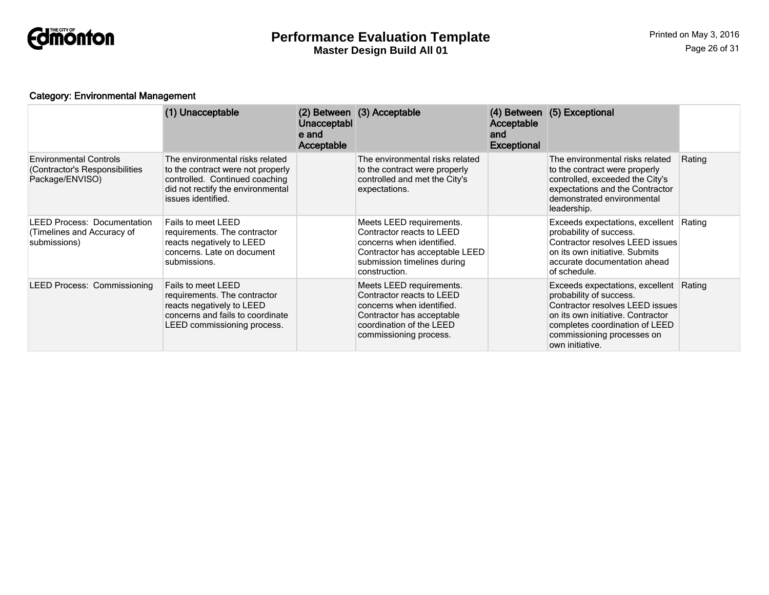

## Category: Environmental Management

|                                                                                    | (1) Unacceptable                                                                                                                                                  | <b>Unacceptabl</b><br>e and<br>Acceptable | (2) Between (3) Acceptable                                                                                                                                            | Acceptable<br>and<br><b>Exceptional</b> | (4) Between (5) Exceptional                                                                                                                                                                                                  |        |
|------------------------------------------------------------------------------------|-------------------------------------------------------------------------------------------------------------------------------------------------------------------|-------------------------------------------|-----------------------------------------------------------------------------------------------------------------------------------------------------------------------|-----------------------------------------|------------------------------------------------------------------------------------------------------------------------------------------------------------------------------------------------------------------------------|--------|
| <b>Environmental Controls</b><br>(Contractor's Responsibilities<br>Package/ENVISO) | The environmental risks related<br>to the contract were not properly<br>controlled. Continued coaching<br>did not rectify the environmental<br>issues identified. |                                           | The environmental risks related<br>to the contract were properly<br>controlled and met the City's<br>expectations.                                                    |                                         | The environmental risks related<br>to the contract were properly<br>controlled, exceeded the City's<br>expectations and the Contractor<br>demonstrated environmental<br>leadership.                                          | Rating |
| <b>LEED Process: Documentation</b><br>(Timelines and Accuracy of<br>submissions)   | Fails to meet LEED<br>requirements. The contractor<br>reacts negatively to LEED<br>concerns. Late on document<br>submissions.                                     |                                           | Meets LEED requirements.<br>Contractor reacts to LEED<br>concerns when identified.<br>Contractor has acceptable LEED<br>submission timelines during<br>construction.  |                                         | Exceeds expectations, excellent Rating<br>probability of success.<br>Contractor resolves LEED issues<br>on its own initiative. Submits<br>accurate documentation ahead<br>of schedule.                                       |        |
| <b>LEED Process: Commissioning</b>                                                 | Fails to meet LEED<br>requirements. The contractor<br>reacts negatively to LEED<br>concerns and fails to coordinate<br>LEED commissioning process.                |                                           | Meets LEED requirements.<br>Contractor reacts to LEED<br>concerns when identified.<br>Contractor has acceptable<br>coordination of the LEED<br>commissioning process. |                                         | Exceeds expectations, excellent Rating<br>probability of success.<br>Contractor resolves LEED issues<br>on its own initiative. Contractor<br>completes coordination of LEED<br>commissioning processes on<br>own initiative. |        |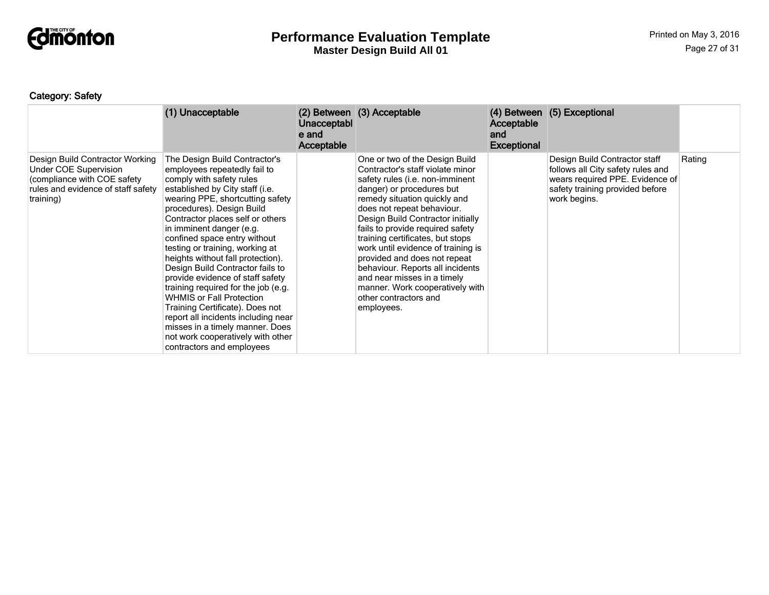

# Category: Safety

|                                                                                                                                            | (1) Unacceptable                                                                                                                                                                                                                                                                                                                                                                                                                                                                                                                                                                                                                                                                                       | Unacceptabl<br>e and<br>Acceptable | (2) Between (3) Acceptable                                                                                                                                                                                                                                                                                                                                                                                                                                                                                                       | <b>Acceptable</b><br>and<br><b>Exceptional</b> | (4) Between (5) Exceptional                                                                                                                              |        |
|--------------------------------------------------------------------------------------------------------------------------------------------|--------------------------------------------------------------------------------------------------------------------------------------------------------------------------------------------------------------------------------------------------------------------------------------------------------------------------------------------------------------------------------------------------------------------------------------------------------------------------------------------------------------------------------------------------------------------------------------------------------------------------------------------------------------------------------------------------------|------------------------------------|----------------------------------------------------------------------------------------------------------------------------------------------------------------------------------------------------------------------------------------------------------------------------------------------------------------------------------------------------------------------------------------------------------------------------------------------------------------------------------------------------------------------------------|------------------------------------------------|----------------------------------------------------------------------------------------------------------------------------------------------------------|--------|
| Design Build Contractor Working<br>Under COE Supervision<br>(compliance with COE safety<br>rules and evidence of staff safety<br>training) | The Design Build Contractor's<br>employees repeatedly fail to<br>comply with safety rules<br>established by City staff (i.e.<br>wearing PPE, shortcutting safety<br>procedures). Design Build<br>Contractor places self or others<br>in imminent danger (e.g.<br>confined space entry without<br>testing or training, working at<br>heights without fall protection).<br>Design Build Contractor fails to<br>provide evidence of staff safety<br>training required for the job (e.g.<br><b>WHMIS or Fall Protection</b><br>Training Certificate). Does not<br>report all incidents including near<br>misses in a timely manner. Does<br>not work cooperatively with other<br>contractors and employees |                                    | One or two of the Design Build<br>Contractor's staff violate minor<br>safety rules (i.e. non-imminent<br>danger) or procedures but<br>remedy situation quickly and<br>does not repeat behaviour.<br>Design Build Contractor initially<br>fails to provide required safety<br>training certificates, but stops<br>work until evidence of training is<br>provided and does not repeat<br>behaviour. Reports all incidents<br>and near misses in a timely<br>manner. Work cooperatively with<br>other contractors and<br>employees. |                                                | Design Build Contractor staff<br>follows all City safety rules and<br>wears required PPE. Evidence of<br>safety training provided before<br>work begins. | Rating |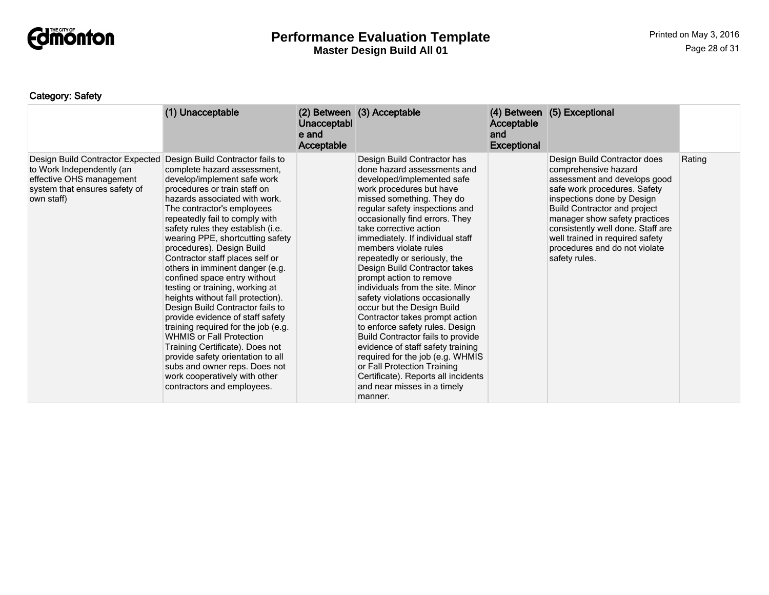

# Category: Safety

|                                                                                                                                          | (1) Unacceptable                                                                                                                                                                                                                                                                                                                                                                                                                                                                                                                                                                                                                                                                                                                                                                                                                              | Unacceptabl<br>e and<br>Acceptable | (2) Between (3) Acceptable                                                                                                                                                                                                                                                                                                                                                                                                                                                                                                                                                                                                                                                                                                                                                                                      | Acceptable<br>and<br><b>Exceptional</b> | (4) Between (5) Exceptional                                                                                                                                                                                                                                                                                                                          |        |
|------------------------------------------------------------------------------------------------------------------------------------------|-----------------------------------------------------------------------------------------------------------------------------------------------------------------------------------------------------------------------------------------------------------------------------------------------------------------------------------------------------------------------------------------------------------------------------------------------------------------------------------------------------------------------------------------------------------------------------------------------------------------------------------------------------------------------------------------------------------------------------------------------------------------------------------------------------------------------------------------------|------------------------------------|-----------------------------------------------------------------------------------------------------------------------------------------------------------------------------------------------------------------------------------------------------------------------------------------------------------------------------------------------------------------------------------------------------------------------------------------------------------------------------------------------------------------------------------------------------------------------------------------------------------------------------------------------------------------------------------------------------------------------------------------------------------------------------------------------------------------|-----------------------------------------|------------------------------------------------------------------------------------------------------------------------------------------------------------------------------------------------------------------------------------------------------------------------------------------------------------------------------------------------------|--------|
| Design Build Contractor Expected<br>to Work Independently (an<br>effective OHS management<br>system that ensures safety of<br>own staff) | Design Build Contractor fails to<br>complete hazard assessment,<br>develop/implement safe work<br>procedures or train staff on<br>hazards associated with work.<br>The contractor's employees<br>repeatedly fail to comply with<br>safety rules they establish (i.e.<br>wearing PPE, shortcutting safety<br>procedures). Design Build<br>Contractor staff places self or<br>others in imminent danger (e.g.<br>confined space entry without<br>testing or training, working at<br>heights without fall protection).<br>Design Build Contractor fails to<br>provide evidence of staff safety<br>training required for the job (e.g.<br><b>WHMIS or Fall Protection</b><br>Training Certificate). Does not<br>provide safety orientation to all<br>subs and owner reps. Does not<br>work cooperatively with other<br>contractors and employees. |                                    | Design Build Contractor has<br>done hazard assessments and<br>developed/implemented safe<br>work procedures but have<br>missed something. They do<br>regular safety inspections and<br>occasionally find errors. They<br>take corrective action<br>immediately. If individual staff<br>members violate rules<br>repeatedly or seriously, the<br>Design Build Contractor takes<br>prompt action to remove<br>individuals from the site. Minor<br>safety violations occasionally<br>occur but the Design Build<br>Contractor takes prompt action<br>to enforce safety rules. Design<br>Build Contractor fails to provide<br>evidence of staff safety training<br>required for the job (e.g. WHMIS<br>or Fall Protection Training<br>Certificate). Reports all incidents<br>and near misses in a timely<br>manner. |                                         | Design Build Contractor does<br>comprehensive hazard<br>assessment and develops good<br>safe work procedures. Safety<br>inspections done by Design<br><b>Build Contractor and project</b><br>manager show safety practices<br>consistently well done. Staff are<br>well trained in required safety<br>procedures and do not violate<br>safety rules. | Rating |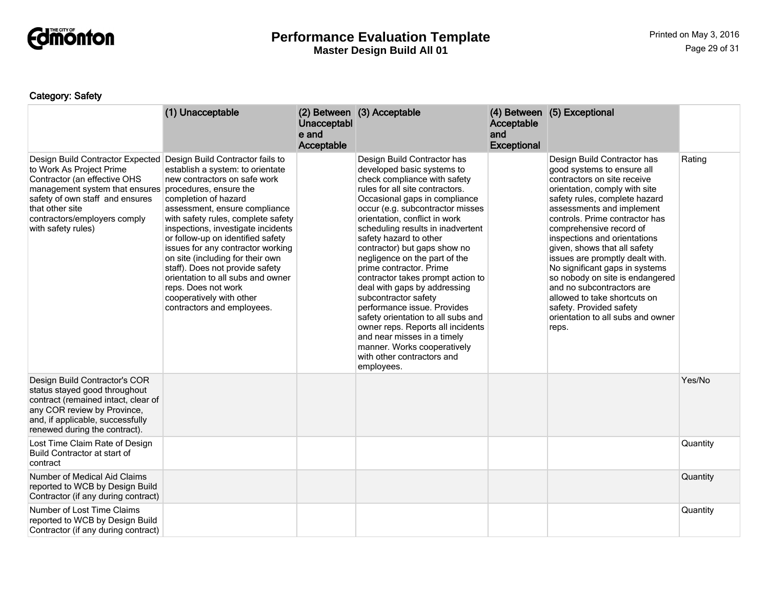

# Category: Safety

|                                                                                                                                                                                                                                            | (1) Unacceptable                                                                                                                                                                                                                                                                                                                                                                                                                                                                                                                           | Unacceptabl<br>e and<br>Acceptable | (2) Between (3) Acceptable                                                                                                                                                                                                                                                                                                                                                                                                                                                                                                                                                                                                                                                                                     | Acceptable<br>and<br><b>Exceptional</b> | (4) Between (5) Exceptional                                                                                                                                                                                                                                                                                                                                                                                                                                                                                                                                        |          |
|--------------------------------------------------------------------------------------------------------------------------------------------------------------------------------------------------------------------------------------------|--------------------------------------------------------------------------------------------------------------------------------------------------------------------------------------------------------------------------------------------------------------------------------------------------------------------------------------------------------------------------------------------------------------------------------------------------------------------------------------------------------------------------------------------|------------------------------------|----------------------------------------------------------------------------------------------------------------------------------------------------------------------------------------------------------------------------------------------------------------------------------------------------------------------------------------------------------------------------------------------------------------------------------------------------------------------------------------------------------------------------------------------------------------------------------------------------------------------------------------------------------------------------------------------------------------|-----------------------------------------|--------------------------------------------------------------------------------------------------------------------------------------------------------------------------------------------------------------------------------------------------------------------------------------------------------------------------------------------------------------------------------------------------------------------------------------------------------------------------------------------------------------------------------------------------------------------|----------|
| Design Build Contractor Expected<br>to Work As Project Prime<br>Contractor (an effective OHS<br>management system that ensures<br>safety of own staff and ensures<br>that other site<br>contractors/employers comply<br>with safety rules) | Design Build Contractor fails to<br>establish a system: to orientate<br>new contractors on safe work<br>procedures, ensure the<br>completion of hazard<br>assessment, ensure compliance<br>with safety rules, complete safety<br>inspections, investigate incidents<br>or follow-up on identified safety<br>issues for any contractor working<br>on site (including for their own<br>staff). Does not provide safety<br>orientation to all subs and owner<br>reps. Does not work<br>cooperatively with other<br>contractors and employees. |                                    | Design Build Contractor has<br>developed basic systems to<br>check compliance with safety<br>rules for all site contractors.<br>Occasional gaps in compliance<br>occur (e.g. subcontractor misses<br>orientation, conflict in work<br>scheduling results in inadvertent<br>safety hazard to other<br>contractor) but gaps show no<br>negligence on the part of the<br>prime contractor. Prime<br>contractor takes prompt action to<br>deal with gaps by addressing<br>subcontractor safety<br>performance issue. Provides<br>safety orientation to all subs and<br>owner reps. Reports all incidents<br>and near misses in a timely<br>manner. Works cooperatively<br>with other contractors and<br>employees. |                                         | Design Build Contractor has<br>good systems to ensure all<br>contractors on site receive<br>orientation, comply with site<br>safety rules, complete hazard<br>assessments and implement<br>controls. Prime contractor has<br>comprehensive record of<br>inspections and orientations<br>given, shows that all safety<br>issues are promptly dealt with.<br>No significant gaps in systems<br>so nobody on site is endangered<br>and no subcontractors are<br>allowed to take shortcuts on<br>safety. Provided safety<br>orientation to all subs and owner<br>reps. | Rating   |
| Design Build Contractor's COR<br>status stayed good throughout<br>contract (remained intact, clear of<br>any COR review by Province,<br>and, if applicable, successfully<br>renewed during the contract).                                  |                                                                                                                                                                                                                                                                                                                                                                                                                                                                                                                                            |                                    |                                                                                                                                                                                                                                                                                                                                                                                                                                                                                                                                                                                                                                                                                                                |                                         |                                                                                                                                                                                                                                                                                                                                                                                                                                                                                                                                                                    | Yes/No   |
| Lost Time Claim Rate of Design<br>Build Contractor at start of<br>contract                                                                                                                                                                 |                                                                                                                                                                                                                                                                                                                                                                                                                                                                                                                                            |                                    |                                                                                                                                                                                                                                                                                                                                                                                                                                                                                                                                                                                                                                                                                                                |                                         |                                                                                                                                                                                                                                                                                                                                                                                                                                                                                                                                                                    | Quantity |
| Number of Medical Aid Claims<br>reported to WCB by Design Build<br>Contractor (if any during contract)                                                                                                                                     |                                                                                                                                                                                                                                                                                                                                                                                                                                                                                                                                            |                                    |                                                                                                                                                                                                                                                                                                                                                                                                                                                                                                                                                                                                                                                                                                                |                                         |                                                                                                                                                                                                                                                                                                                                                                                                                                                                                                                                                                    | Quantity |
| Number of Lost Time Claims<br>reported to WCB by Design Build<br>Contractor (if any during contract)                                                                                                                                       |                                                                                                                                                                                                                                                                                                                                                                                                                                                                                                                                            |                                    |                                                                                                                                                                                                                                                                                                                                                                                                                                                                                                                                                                                                                                                                                                                |                                         |                                                                                                                                                                                                                                                                                                                                                                                                                                                                                                                                                                    | Quantity |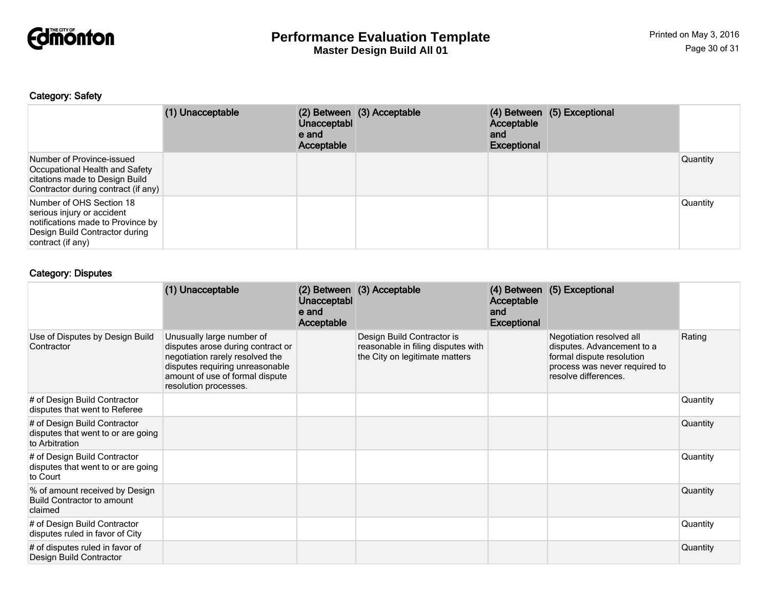

# Category: Safety

|                                                                                                                                                    | (1) Unacceptable | Unacceptabl<br>e and<br>Acceptable | (2) Between (3) Acceptable | Acceptable<br>and<br><b>Exceptional</b> | (4) Between (5) Exceptional |          |
|----------------------------------------------------------------------------------------------------------------------------------------------------|------------------|------------------------------------|----------------------------|-----------------------------------------|-----------------------------|----------|
| Number of Province-issued<br>Occupational Health and Safety<br>citations made to Design Build<br>Contractor during contract (if any)               |                  |                                    |                            |                                         |                             | Quantity |
| Number of OHS Section 18<br>serious injury or accident<br>notifications made to Province by<br>Design Build Contractor during<br>contract (if any) |                  |                                    |                            |                                         |                             | Quantity |

## Category: Disputes

|                                                                                      | (1) Unacceptable                                                                                                                                                                                 | Unacceptabl<br>e and<br>Acceptable | (2) Between (3) Acceptable                                                                         | (4) Between<br>Acceptable<br>and<br><b>Exceptional</b> | (5) Exceptional                                                                                                                              |          |
|--------------------------------------------------------------------------------------|--------------------------------------------------------------------------------------------------------------------------------------------------------------------------------------------------|------------------------------------|----------------------------------------------------------------------------------------------------|--------------------------------------------------------|----------------------------------------------------------------------------------------------------------------------------------------------|----------|
| Use of Disputes by Design Build<br>Contractor                                        | Unusually large number of<br>disputes arose during contract or<br>negotiation rarely resolved the<br>disputes requiring unreasonable<br>amount of use of formal dispute<br>resolution processes. |                                    | Design Build Contractor is<br>reasonable in filing disputes with<br>the City on legitimate matters |                                                        | Negotiation resolved all<br>disputes. Advancement to a<br>formal dispute resolution<br>process was never required to<br>resolve differences. | Rating   |
| # of Design Build Contractor<br>disputes that went to Referee                        |                                                                                                                                                                                                  |                                    |                                                                                                    |                                                        |                                                                                                                                              | Quantity |
| # of Design Build Contractor<br>disputes that went to or are going<br>to Arbitration |                                                                                                                                                                                                  |                                    |                                                                                                    |                                                        |                                                                                                                                              | Quantity |
| # of Design Build Contractor<br>disputes that went to or are going<br>to Court       |                                                                                                                                                                                                  |                                    |                                                                                                    |                                                        |                                                                                                                                              | Quantity |
| % of amount received by Design<br>Build Contractor to amount<br>claimed              |                                                                                                                                                                                                  |                                    |                                                                                                    |                                                        |                                                                                                                                              | Quantity |
| # of Design Build Contractor<br>disputes ruled in favor of City                      |                                                                                                                                                                                                  |                                    |                                                                                                    |                                                        |                                                                                                                                              | Quantity |
| # of disputes ruled in favor of<br>Design Build Contractor                           |                                                                                                                                                                                                  |                                    |                                                                                                    |                                                        |                                                                                                                                              | Quantity |